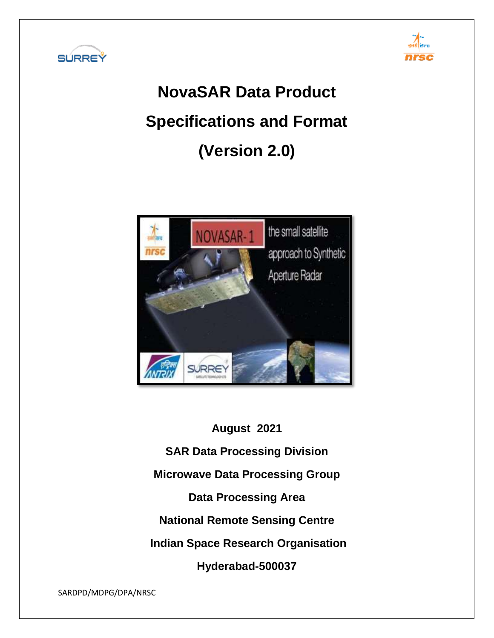



# **NovaSAR Data Product Specifications and Format (Version 2.0)**



**August 2021 SAR Data Processing Division Microwave Data Processing Group**

**Data Processing Area**

**National Remote Sensing Centre**

**Indian Space Research Organisation**

**Hyderabad-500037**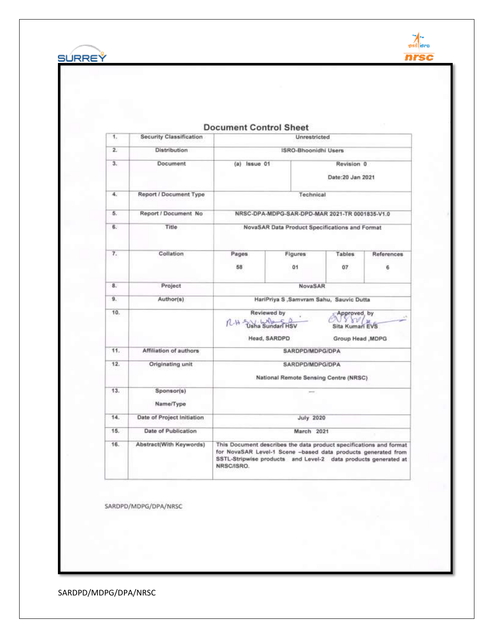



 $\overline{a}$ 

| 1.  | <b>Security Classification</b> | Unrestricted                                             |                                                                                                                                                                                                       |                                                                                  |                 |  |  |
|-----|--------------------------------|----------------------------------------------------------|-------------------------------------------------------------------------------------------------------------------------------------------------------------------------------------------------------|----------------------------------------------------------------------------------|-----------------|--|--|
| 2.  | <b>Distribution</b>            |                                                          | <b>ISRO-Bhoonidhi Users</b>                                                                                                                                                                           |                                                                                  |                 |  |  |
| 3.  | Document                       | (a) Issue 01                                             |                                                                                                                                                                                                       | Revision 0<br>Date: 20 Jan 2021                                                  |                 |  |  |
| 4.  | Report / Document Type         |                                                          | Technical                                                                                                                                                                                             |                                                                                  |                 |  |  |
| 5.  | Report / Document No           |                                                          | NRSC-DPA-MDPG-SAR-DPD-MAR 2021-TR 0001835-V1.0                                                                                                                                                        |                                                                                  |                 |  |  |
| 6.  | Title                          |                                                          | NovaSAR Data Product Specifications and Format                                                                                                                                                        |                                                                                  |                 |  |  |
| 7.  | Collation                      | Pages<br>58                                              | Figures<br>01                                                                                                                                                                                         | Tables<br>07                                                                     | References<br>6 |  |  |
| B.  | Project                        |                                                          | NovaSAR                                                                                                                                                                                               |                                                                                  |                 |  |  |
| 9.  | Author(s)                      | HariPriya S ,Samvram Sahu, Sauvic Dutta                  |                                                                                                                                                                                                       |                                                                                  |                 |  |  |
| 10. |                                | R-H Usha Sundari HSV                                     | Reviewed by<br>Head, SARDPD                                                                                                                                                                           | Approved, by<br>$\mathcal{W}/\mathcal{H}$<br>Sita Kuman EVS<br>Group Head , MDPG |                 |  |  |
| 11. | Affiliation of authors         |                                                          | SARDPD/MDPG/DPA                                                                                                                                                                                       |                                                                                  |                 |  |  |
| 12. | Originating unit               | SARDPD/MDPG/DPA<br>National Remote Sensing Centre (NRSC) |                                                                                                                                                                                                       |                                                                                  |                 |  |  |
| 13. | Sponsor(s)<br>Name/Type        |                                                          |                                                                                                                                                                                                       |                                                                                  |                 |  |  |
| 14. | Date of Project Initiation     | <b>July 2020</b>                                         |                                                                                                                                                                                                       |                                                                                  |                 |  |  |
| 15. | Date of Publication            | March 2021                                               |                                                                                                                                                                                                       |                                                                                  |                 |  |  |
| 16. | Abstract(With Keywords)        | NRSC/ISRO.                                               | This Document describes the data product specifications and format<br>for NovaSAR Level-1 Scene -based data products generated from<br>SSTL-Stripwise products and Level-2 data products generated at |                                                                                  |                 |  |  |

SARDPD/MDPG/DPA/NRSC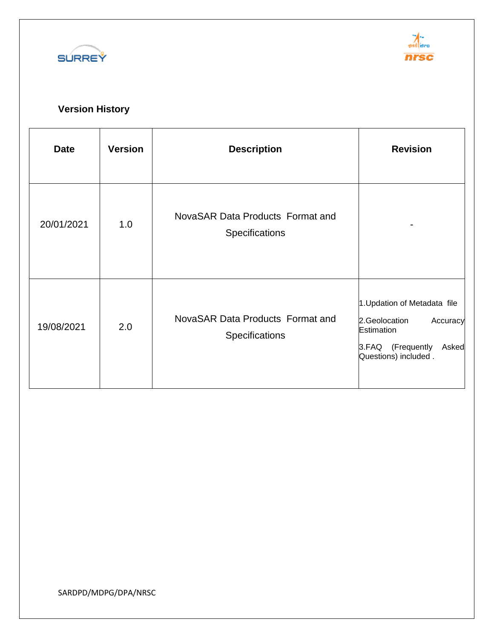



# **Version History**

| <b>Date</b> | <b>Version</b> | <b>Description</b>                                 | <b>Revision</b>                                                                                                               |
|-------------|----------------|----------------------------------------------------|-------------------------------------------------------------------------------------------------------------------------------|
| 20/01/2021  | 1.0            | NovaSAR Data Products Format and<br>Specifications |                                                                                                                               |
| 19/08/2021  | 2.0            | NovaSAR Data Products Format and<br>Specifications | 1. Updation of Metadata file<br>2.Geolocation<br>Accuracy<br>Estimation<br>3.FAQ (Frequently<br>Asked<br>Questions) included. |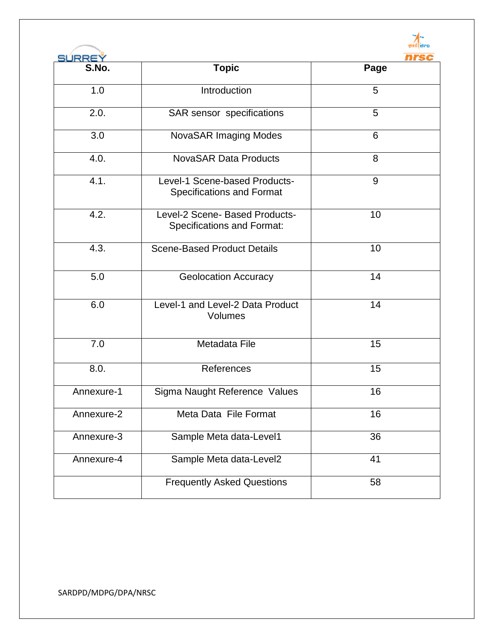

| SÚRREÝ     |                                                                     |      |  |  |  |
|------------|---------------------------------------------------------------------|------|--|--|--|
| S.No.      | <b>Topic</b>                                                        | Page |  |  |  |
| 1.0        | Introduction                                                        | 5    |  |  |  |
| 2.0.       | SAR sensor specifications                                           | 5    |  |  |  |
| 3.0        | <b>NovaSAR Imaging Modes</b>                                        | 6    |  |  |  |
| 4.0.       | <b>NovaSAR Data Products</b>                                        | 8    |  |  |  |
| 4.1.       | Level-1 Scene-based Products-<br><b>Specifications and Format</b>   | 9    |  |  |  |
| 4.2.       | Level-2 Scene- Based Products-<br><b>Specifications and Format:</b> | 10   |  |  |  |
| 4.3.       | <b>Scene-Based Product Details</b>                                  | 10   |  |  |  |
| 5.0        | <b>Geolocation Accuracy</b>                                         | 14   |  |  |  |
| 6.0        | Level-1 and Level-2 Data Product<br>Volumes                         | 14   |  |  |  |
| 7.0        | Metadata File                                                       | 15   |  |  |  |
| 8.0.       | References                                                          | 15   |  |  |  |
| Annexure-1 | Sigma Naught Reference Values                                       | 16   |  |  |  |
| Annexure-2 | Meta Data File Format                                               | 16   |  |  |  |
| Annexure-3 | Sample Meta data-Level1                                             | 36   |  |  |  |
| Annexure-4 | Sample Meta data-Level2                                             | 41   |  |  |  |
|            | <b>Frequently Asked Questions</b>                                   | 58   |  |  |  |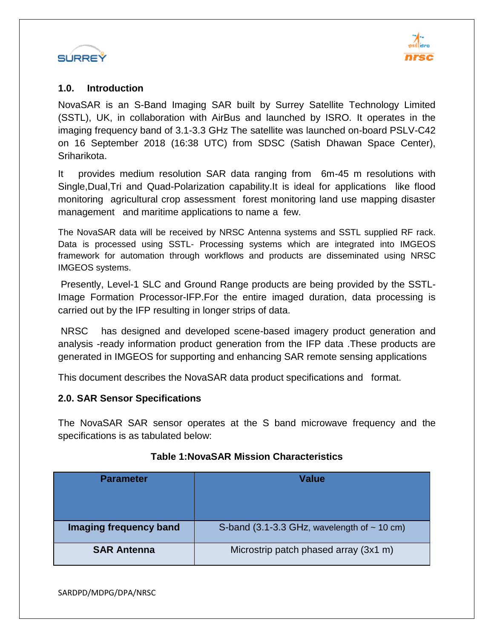



#### **1.0. Introduction**

NovaSAR is an S-Band Imaging SAR built by Surrey Satellite Technology Limited (SSTL), UK, in collaboration with AirBus and launched by ISRO. It operates in the imaging frequency band of 3.1-3.3 GHz The satellite was launched on-board PSLV-C42 on 16 September 2018 (16:38 UTC) from SDSC (Satish Dhawan Space Center), Sriharikota.

It provides medium resolution SAR data ranging from 6m-45 m resolutions with Single,Dual,Tri and Quad-Polarization capability.It is ideal for applications like flood monitoring agricultural crop assessment forest monitoring land use mapping disaster management and maritime applications to name a few.

The NovaSAR data will be received by NRSC Antenna systems and SSTL supplied RF rack. Data is processed using SSTL- Processing systems which are integrated into IMGEOS framework for automation through workflows and products are disseminated using NRSC IMGEOS systems.

Presently, Level-1 SLC and Ground Range products are being provided by the SSTL-Image Formation Processor-IFP.For the entire imaged duration, data processing is carried out by the IFP resulting in longer strips of data.

NRSC has designed and developed scene-based imagery product generation and analysis -ready information product generation from the IFP data .These products are generated in IMGEOS for supporting and enhancing SAR remote sensing applications

This document describes the NovaSAR data product specifications and format.

#### **2.0. SAR Sensor Specifications**

The NovaSAR SAR sensor operates at the S band microwave frequency and the specifications is as tabulated below:

| <b>Parameter</b>       | Value                                            |
|------------------------|--------------------------------------------------|
| Imaging frequency band | S-band (3.1-3.3 GHz, wavelength of $\sim$ 10 cm) |
| <b>SAR Antenna</b>     | Microstrip patch phased array (3x1 m)            |

#### **Table 1:NovaSAR Mission Characteristics**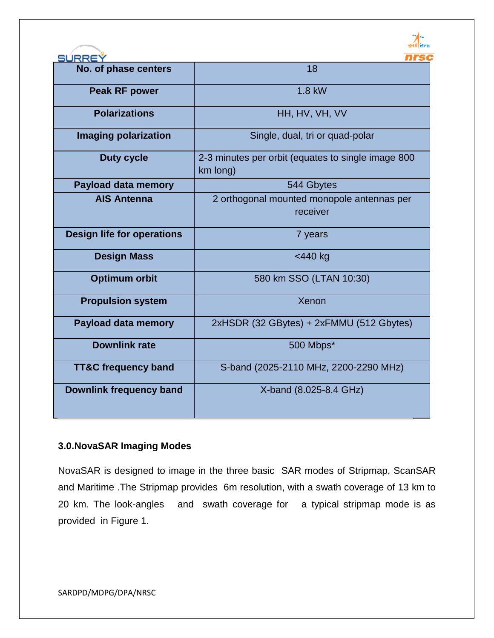

| <b>SURREY</b>                     | nrsc                                                           |
|-----------------------------------|----------------------------------------------------------------|
| No. of phase centers              | 18                                                             |
| <b>Peak RF power</b>              | 1.8 kW                                                         |
| <b>Polarizations</b>              | HH, HV, VH, VV                                                 |
| <b>Imaging polarization</b>       | Single, dual, tri or quad-polar                                |
| <b>Duty cycle</b>                 | 2-3 minutes per orbit (equates to single image 800<br>km long) |
| <b>Payload data memory</b>        | 544 Gbytes                                                     |
| <b>AIS Antenna</b>                | 2 orthogonal mounted monopole antennas per                     |
|                                   | receiver                                                       |
| <b>Design life for operations</b> | 7 years                                                        |
| <b>Design Mass</b>                | <440 kg                                                        |
| <b>Optimum orbit</b>              | 580 km SSO (LTAN 10:30)                                        |
| <b>Propulsion system</b>          | Xenon                                                          |
| <b>Payload data memory</b>        | 2xHSDR (32 GBytes) + 2xFMMU (512 Gbytes)                       |
| <b>Downlink rate</b>              | 500 Mbps*                                                      |
| <b>TT&amp;C frequency band</b>    | S-band (2025-2110 MHz, 2200-2290 MHz)                          |
| <b>Downlink frequency band</b>    | X-band (8.025-8.4 GHz)                                         |

#### **3.0.NovaSAR Imaging Modes**

NovaSAR is designed to image in the three basic SAR modes of Stripmap, ScanSAR and Maritime .The Stripmap provides 6m resolution, with a swath coverage of 13 km to 20 km. The look-angles and swath coverage for a typical stripmap mode is as provided in Figure 1.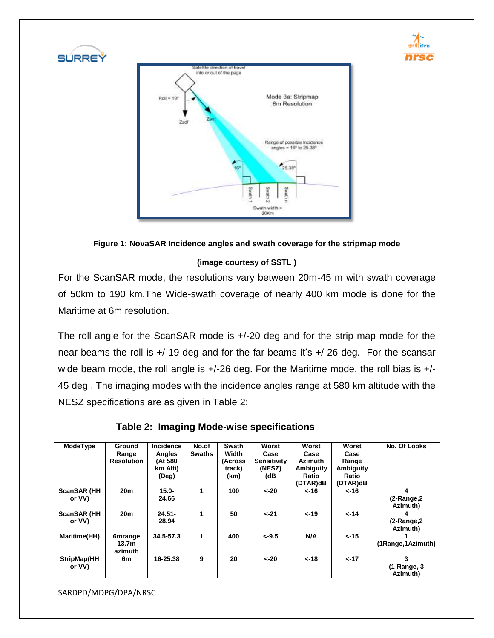



#### **(image courtesy of SSTL )**

For the ScanSAR mode, the resolutions vary between 20m-45 m with swath coverage of 50km to 190 km.The Wide-swath coverage of nearly 400 km mode is done for the Maritime at 6m resolution.

The roll angle for the ScanSAR mode is +/-20 deg and for the strip map mode for the near beams the roll is +/-19 deg and for the far beams it's +/-26 deg. For the scansar wide beam mode, the roll angle is  $+/-26$  deg. For the Maritime mode, the roll bias is  $+/-$ 45 deg . The imaging modes with the incidence angles range at 580 km altitude with the NESZ specifications are as given in Table 2:

|  |  |  | Table 2: Imaging Mode-wise specifications |
|--|--|--|-------------------------------------------|
|--|--|--|-------------------------------------------|

| <b>ModeType</b>               | <b>Ground</b><br>Range<br><b>Resolution</b> | Incidence<br>Angles<br>(At 580<br>km Alti)<br>(Deg) | No.of<br><b>Swaths</b> | Swath<br>Width<br>(Across<br>track)<br>(km) | Worst<br>Case<br><b>Sensitivity</b><br>(NESZ)<br>(dB | Worst<br>Case<br><b>Azimuth</b><br>Ambiguity<br>Ratio<br>(DTAR)dB | Worst<br>Case<br>Range<br>Ambiguity<br>Ratio<br>(DTAR)dB | No. Of Looks                    |
|-------------------------------|---------------------------------------------|-----------------------------------------------------|------------------------|---------------------------------------------|------------------------------------------------------|-------------------------------------------------------------------|----------------------------------------------------------|---------------------------------|
| <b>ScanSAR (HH)</b><br>or VV) | 20 <sub>m</sub>                             | $15.0 -$<br>24.66                                   | 1                      | 100                                         | $< -20$                                              | $< -16$                                                           | 16->                                                     | 4<br>(2-Range, 2)<br>Azimuth)   |
| <b>ScanSAR (HH)</b><br>or VV) | 20 <sub>m</sub>                             | $24.51 -$<br>28.94                                  | 1                      | 50                                          | $< -21$                                              | $< -19$                                                           | $< -14$                                                  | 4<br>(2-Range, 2)<br>Azimuth)   |
| <b>Maritime(HH)</b>           | <b>6mrange</b><br>13.7m<br>azimuth          | 34.5-57.3                                           | 1                      | 400                                         | $<-9.5$                                              | N/A                                                               | $< -15$                                                  | (1Range, 1Azimuth)              |
| StripMap(HH<br>or VV)         | 6m                                          | 16-25.38                                            | 9                      | 20                                          | $< -20$                                              | $< -18$                                                           | $< -17$                                                  | 3<br>$(1-Range, 3)$<br>Azimuth) |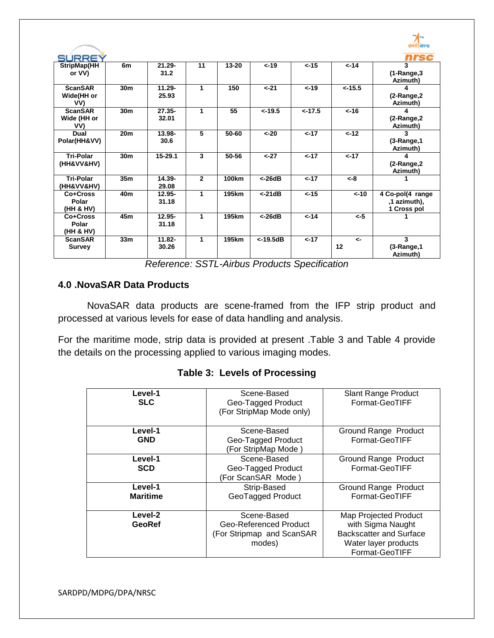|                                      |                 |                    |                |              |             |           |                    | इसरी सिल्ट                                      |
|--------------------------------------|-----------------|--------------------|----------------|--------------|-------------|-----------|--------------------|-------------------------------------------------|
| SURREY                               |                 |                    |                |              |             |           |                    | nrsc                                            |
| StripMap(HH<br>or VV)                | 6m              | $21.29 -$<br>31.2  | 11             | $13 - 20$    | $< -19$     | $< -15$   | $< -14$            | 3<br>$(1-Range,3)$<br>Azimuth)                  |
| <b>ScanSAR</b><br>Wide(HH or<br>VV)  | 30m             | $11.29 -$<br>25.93 | $\mathbf{1}$   | 150          | $< -21$     | $< -19$   | $< -15.5$          | 4<br>$(2-Range,2$<br>Azimuth)                   |
| <b>ScanSAR</b><br>Wide (HH or<br>VV) | 30 <sub>m</sub> | $27.35 -$<br>32.01 | 1              | 55           | $< -19.5$   | $< -17.5$ | $< -16$            | 4<br>(2-Range, 2<br>Azimuth)                    |
| Dual<br>Polar(HH&VV)                 | 20 <sub>m</sub> | 13.98-<br>30.6     | $\overline{5}$ | 50-60        | $<-20$      | $< -17$   | $< -12$            | 3<br>$(3-Range, 1)$<br>Azimuth)                 |
| <b>Tri-Polar</b><br>(HH&VV&HV)       | 30 <sub>m</sub> | $15 - 29.1$        | 3              | 50-56        | $< -27$     | $< -17$   | $< -17$            | 4<br>$(2-Range,2$<br>Azimuth)                   |
| <b>Tri-Polar</b><br>(HH&VV&HV)       | 35 <sub>m</sub> | 14.39-<br>29.08    | $\overline{2}$ | <b>100km</b> | < 26dB      | $< -17$   | $<-8$              |                                                 |
| Co+Cross<br>Polar<br>(HH & HV)       | 40m             | $12.95 -$<br>31.18 | 1              | 195km        | < 21dB      | $< -15$   | $< -10$            | 4 Co-pol(4 range<br>,1 azimuth),<br>1 Cross pol |
| Co+Cross<br>Polar<br>(HH & HV)       | 45m             | $12.95 -$<br>31.18 | $\mathbf{1}$   | 195km        | < 26dB      | $< -14$   | $< -5$             |                                                 |
| <b>ScanSAR</b><br><b>Survey</b>      | 33 <sub>m</sub> | $11.82 -$<br>30.26 | 1              | 195km        | $<$ -19.5dB | $< -17$   | $\leftarrow$<br>12 | 3<br>$(3-Range, 1)$<br>Azimuth)                 |

*Reference: SSTL-Airbus Products Specification*

#### **4.0 .NovaSAR Data Products**

NovaSAR data products are scene-framed from the IFP strip product and processed at various levels for ease of data handling and analysis.

For the maritime mode, strip data is provided at present .Table 3 and Table 4 provide the details on the processing applied to various imaging modes.

|  |  | <b>Table 3: Levels of Processing</b> |
|--|--|--------------------------------------|
|--|--|--------------------------------------|

| Level-1<br><b>SLC</b> | Scene-Based<br>Geo-Tagged Product<br>(For StripMap Mode only) | <b>Slant Range Product</b><br>Format-GeoTIFF |
|-----------------------|---------------------------------------------------------------|----------------------------------------------|
| Level-1               | Scene-Based                                                   | Ground Range Product                         |
| <b>GND</b>            | Geo-Tagged Product<br>(For StripMap Mode)                     | Format-GeoTIFF                               |
| Level-1               | Scene-Based                                                   | Ground Range Product                         |
| <b>SCD</b>            | Geo-Tagged Product<br>(For ScanSAR Mode)                      | Format-GeoTIFF                               |
| Level-1               | Strip-Based                                                   | Ground Range Product                         |
| <b>Maritime</b>       | GeoTagged Product                                             | Format-GeoTIFF                               |
| Level-2               | Scene-Based                                                   | Map Projected Product                        |
| GeoRef                | Geo-Referenced Product                                        | with Sigma Naught                            |
|                       | (For Stripmap and ScanSAR                                     | <b>Backscatter and Surface</b>               |
|                       | modes)                                                        | Water layer products<br>Format-GeoTIFF       |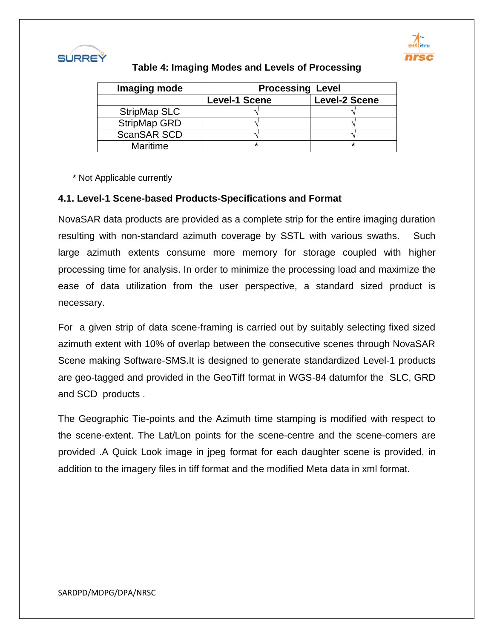



#### **Table 4: Imaging Modes and Levels of Processing**

| Imaging mode       | <b>Processing Level</b> |                      |  |  |  |
|--------------------|-------------------------|----------------------|--|--|--|
|                    | <b>Level-1 Scene</b>    | <b>Level-2 Scene</b> |  |  |  |
| StripMap SLC       |                         |                      |  |  |  |
| StripMap GRD       |                         |                      |  |  |  |
| <b>ScanSAR SCD</b> |                         |                      |  |  |  |
| Maritime           | ÷                       | ÷                    |  |  |  |

\* Not Applicable currently

#### **4.1. Level-1 Scene-based Products-Specifications and Format**

NovaSAR data products are provided as a complete strip for the entire imaging duration resulting with non-standard azimuth coverage by SSTL with various swaths. Such large azimuth extents consume more memory for storage coupled with higher processing time for analysis. In order to minimize the processing load and maximize the ease of data utilization from the user perspective, a standard sized product is necessary.

For a given strip of data scene-framing is carried out by suitably selecting fixed sized azimuth extent with 10% of overlap between the consecutive scenes through NovaSAR Scene making Software-SMS.It is designed to generate standardized Level-1 products are geo-tagged and provided in the GeoTiff format in WGS-84 datumfor the SLC, GRD and SCD products .

The Geographic Tie-points and the Azimuth time stamping is modified with respect to the scene-extent. The Lat/Lon points for the scene-centre and the scene-corners are provided .A Quick Look image in jpeg format for each daughter scene is provided, in addition to the imagery files in tiff format and the modified Meta data in xml format.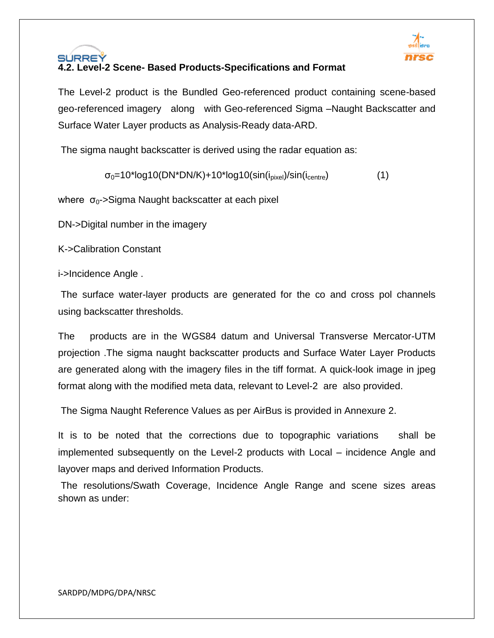

#### SÚRREÝ **4.2. Level-2 Scene- Based Products-Specifications and Format**

The Level-2 product is the Bundled Geo-referenced product containing scene-based geo-referenced imagery along with Geo-referenced Sigma –Naught Backscatter and Surface Water Layer products as Analysis-Ready data-ARD.

The sigma naught backscatter is derived using the radar equation as:

 $\sigma_0$ =10\*log10(DN\*DN/K)+10\*log10(sin(i<sub>pixel</sub>)/sin(i<sub>centre</sub>) (1)

where  $\sigma_0$ ->Sigma Naught backscatter at each pixel

DN->Digital number in the imagery

K->Calibration Constant

i->Incidence Angle .

The surface water-layer products are generated for the co and cross pol channels using backscatter thresholds.

The products are in the WGS84 datum and Universal Transverse Mercator-UTM projection .The sigma naught backscatter products and Surface Water Layer Products are generated along with the imagery files in the tiff format. A quick-look image in jpeg format along with the modified meta data, relevant to Level-2 are also provided.

The Sigma Naught Reference Values as per AirBus is provided in Annexure 2.

It is to be noted that the corrections due to topographic variations shall be implemented subsequently on the Level-2 products with Local – incidence Angle and layover maps and derived Information Products.

The resolutions/Swath Coverage, Incidence Angle Range and scene sizes areas shown as under: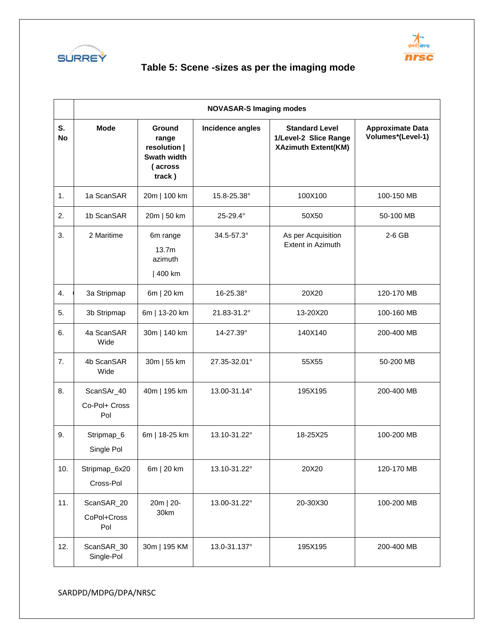



# **Table 5: Scene -sizes as per the imaging mode**

|                  | <b>NOVASAR-S Imaging modes</b>     |                                                                     |                  |                                                                              |                                              |  |  |  |  |
|------------------|------------------------------------|---------------------------------------------------------------------|------------------|------------------------------------------------------------------------------|----------------------------------------------|--|--|--|--|
| S.<br><b>No</b>  | <b>Mode</b>                        | Ground<br>range<br>resolution  <br>Swath width<br>(across<br>track) | Incidence angles | <b>Standard Level</b><br>1/Level-2 Slice Range<br><b>XAzimuth Extent(KM)</b> | <b>Approximate Data</b><br>Volumes*(Level-1) |  |  |  |  |
| 1.               | 1a ScanSAR                         | 20m   100 km                                                        | 15.8-25.38°      | 100X100                                                                      | 100-150 MB                                   |  |  |  |  |
| 2.               | 1b ScanSAR                         | 20m   50 km                                                         | 25-29.4°         | 50X50                                                                        | 50-100 MB                                    |  |  |  |  |
| 3.               | 2 Maritime                         | 6m range<br>13.7 <sub>m</sub><br>azimuth<br>  400 km                | 34.5-57.3°       | As per Acquisition<br><b>Extent in Azimuth</b>                               | 2-6 GB                                       |  |  |  |  |
| $\overline{4}$ . | 3a Stripmap                        | 6m   20 km                                                          | 16-25.38°        | 20X20                                                                        | 120-170 MB                                   |  |  |  |  |
| 5.               | 3b Stripmap                        | 6m   13-20 km                                                       | 21.83-31.2°      | 13-20X20                                                                     | 100-160 MB                                   |  |  |  |  |
| 6.               | 4a ScanSAR<br>Wide                 | 30m   140 km                                                        | 14-27.39°        | 140X140                                                                      | 200-400 MB                                   |  |  |  |  |
| 7.               | 4b ScanSAR<br>Wide                 | 30m   55 km                                                         | 27.35-32.01°     | 55X55                                                                        | 50-200 MB                                    |  |  |  |  |
| 8.               | ScanSAr_40<br>Co-Pol+ Cross<br>Pol | 40m   195 km                                                        | 13.00-31.14°     | 195X195                                                                      | 200-400 MB                                   |  |  |  |  |
| 9.               | Stripmap_6<br>Single Pol           | 6m   18-25 km                                                       | 13.10-31.22°     | 18-25X25                                                                     | 100-200 MB                                   |  |  |  |  |
| 10.              | Stripmap_6x20<br>Cross-Pol         | 6m   20 km                                                          | 13.10-31.22°     | 20X20                                                                        | 120-170 MB                                   |  |  |  |  |
| 11.              | ScanSAR_20<br>CoPol+Cross<br>Pol   | 20m   20-<br>30km                                                   | 13.00-31.22°     | 20-30X30                                                                     | 100-200 MB                                   |  |  |  |  |
| 12.              | ScanSAR_30<br>Single-Pol           | 30m   195 KM                                                        | 13.0-31.137°     | 195X195                                                                      | 200-400 MB                                   |  |  |  |  |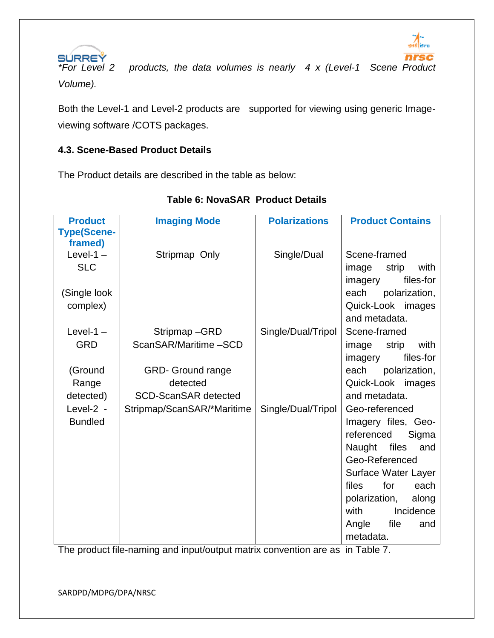



*\*For Level 2 products, the data volumes is nearly 4 x (Level-1 Scene Product Volume).* 

Both the Level-1 and Level-2 products are supported for viewing using generic Imageviewing software /COTS packages.

#### **4.3. Scene-Based Product Details**

The Product details are described in the table as below:

| <b>Product</b><br><b>Type(Scene-</b><br>framed)            | <b>Imaging Mode</b>                                                                                         | <b>Polarizations</b> | <b>Product Contains</b>                                                                                                                                                                                                                  |
|------------------------------------------------------------|-------------------------------------------------------------------------------------------------------------|----------------------|------------------------------------------------------------------------------------------------------------------------------------------------------------------------------------------------------------------------------------------|
| Level-1 $-$<br><b>SLC</b><br>(Single look<br>complex)      | Stripmap Only                                                                                               | Single/Dual          | Scene-framed<br>with<br>image<br>strip<br>files-for<br>imagery<br>polarization,<br>each<br>Quick-Look images<br>and metadata.                                                                                                            |
| Level-1 $-$<br><b>GRD</b><br>(Ground<br>Range<br>detected) | Stripmap-GRD<br>ScanSAR/Maritime-SCD<br><b>GRD- Ground range</b><br>detected<br><b>SCD-ScanSAR detected</b> | Single/Dual/Tripol   | Scene-framed<br>with<br>strip<br>image<br>files-for<br>imagery<br>each<br>polarization,<br>Quick-Look images<br>and metadata.                                                                                                            |
| Level-2 -<br><b>Bundled</b>                                | Stripmap/ScanSAR/*Maritime                                                                                  | Single/Dual/Tripol   | Geo-referenced<br>Imagery files, Geo-<br>referenced<br>Sigma<br>Naught files<br>and<br>Geo-Referenced<br>Surface Water Layer<br>files<br>for<br>each<br>polarization,<br>along<br>with<br>Incidence<br>file<br>Angle<br>and<br>metadata. |

#### **Table 6: NovaSAR Product Details**

The product file-naming and input/output matrix convention are as in Table 7.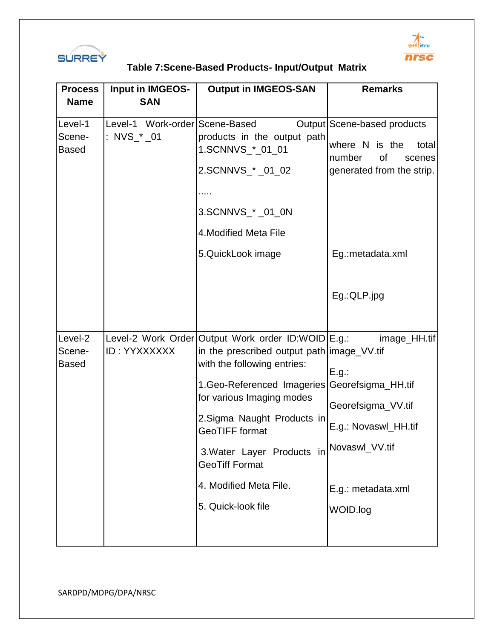



# **Table 7:Scene-Based Products- Input/Output Matrix**

| <b>Process</b>                    | <b>Input in IMGEOS-</b>                       | <b>Output in IMGEOS-SAN</b>                                                                                                                                                                                                                                                                                                                                | <b>Remarks</b>                                                                                                                                |
|-----------------------------------|-----------------------------------------------|------------------------------------------------------------------------------------------------------------------------------------------------------------------------------------------------------------------------------------------------------------------------------------------------------------------------------------------------------------|-----------------------------------------------------------------------------------------------------------------------------------------------|
| <b>Name</b>                       | <b>SAN</b>                                    |                                                                                                                                                                                                                                                                                                                                                            |                                                                                                                                               |
| Level-1<br>Scene-<br><b>Based</b> | Level-1 Work-order Scene-Based<br>: NVS_* _01 | products in the output path<br>1.SCNNVS_*_01_01<br>2.SCNNVS_* _01_02<br>3.SCNNVS_*_01_0N<br>4. Modified Meta File<br>5.QuickLook image                                                                                                                                                                                                                     | Output Scene-based products<br>where N is the<br>total<br>of<br>number<br>scenes<br>generated from the strip.<br>Eg.: metadata.xml            |
|                                   |                                               |                                                                                                                                                                                                                                                                                                                                                            | Eg.:QLP.jpg                                                                                                                                   |
| Level-2<br>Scene-<br><b>Based</b> | ID: YYXXXXXX                                  | Level-2 Work Order Output Work order ID:WOID E.g.:<br>in the prescribed output path image_VV.tif<br>with the following entries:<br>1. Geo-Referenced Imageries<br>for various Imaging modes<br>2. Sigma Naught Products in<br><b>GeoTIFF</b> format<br>3. Water Layer Products in<br><b>GeoTiff Format</b><br>4. Modified Meta File.<br>5. Quick-look file | image_HH.tif<br>E.g.:<br>Georefsigma_HH.tif<br>Georefsigma_VV.tif<br>E.g.: Novaswl_HH.tif<br>Novaswl_VV.tif<br>E.g.: metadata.xml<br>WOID.log |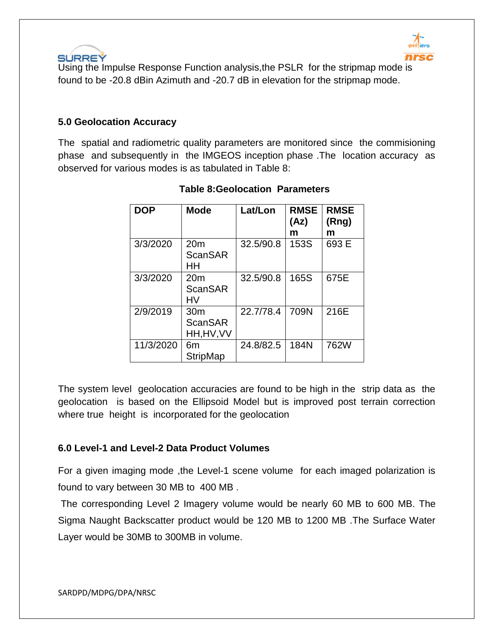



 Using the Impulse Response Function analysis,the PSLR for the stripmap mode is found to be -20.8 dBin Azimuth and -20.7 dB in elevation for the stripmap mode.

#### **5.0 Geolocation Accuracy**

The spatial and radiometric quality parameters are monitored since the commisioning phase and subsequently in the IMGEOS inception phase .The location accuracy as observed for various modes is as tabulated in Table 8:

| <b>DOP</b> | <b>Mode</b>                                     | Lat/Lon   | <b>RMSE</b><br>(Az)<br>m | <b>RMSE</b><br>(Rng)<br>m |
|------------|-------------------------------------------------|-----------|--------------------------|---------------------------|
| 3/3/2020   | 20 <sub>m</sub><br><b>ScanSAR</b><br>HН         | 32.5/90.8 | 153S                     | 693 E                     |
| 3/3/2020   | 20 <sub>m</sub><br><b>ScanSAR</b><br>HV         | 32.5/90.8 | 165S                     | 675E                      |
| 2/9/2019   | 30 <sub>m</sub><br><b>ScanSAR</b><br>HH, HV, VV | 22.7/78.4 | 709N                     | 216E                      |
| 11/3/2020  | 6m<br><b>StripMap</b>                           | 24.8/82.5 | 184N                     | 762W                      |

#### **Table 8:Geolocation Parameters**

The system level geolocation accuracies are found to be high in the strip data as the geolocation is based on the Ellipsoid Model but is improved post terrain correction where true height is incorporated for the geolocation

#### **6.0 Level-1 and Level-2 Data Product Volumes**

For a given imaging mode ,the Level-1 scene volume for each imaged polarization is found to vary between 30 MB to 400 MB .

The corresponding Level 2 Imagery volume would be nearly 60 MB to 600 MB. The Sigma Naught Backscatter product would be 120 MB to 1200 MB .The Surface Water Layer would be 30MB to 300MB in volume.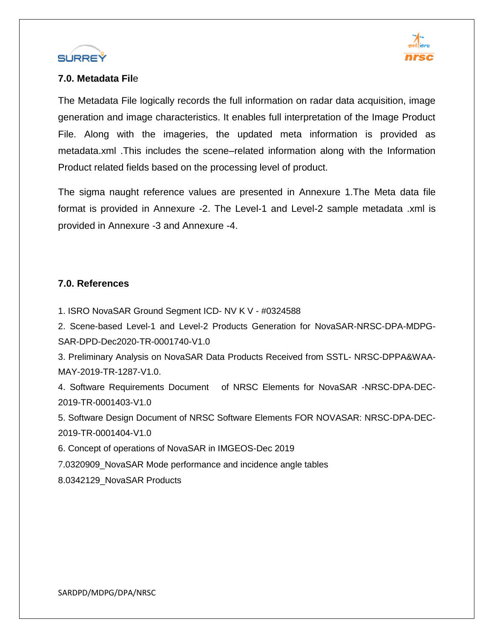



#### **7.0. Metadata Fil**e

The Metadata File logically records the full information on radar data acquisition, image generation and image characteristics. It enables full interpretation of the Image Product File. Along with the imageries, the updated meta information is provided as metadata.xml .This includes the scene–related information along with the Information Product related fields based on the processing level of product.

The sigma naught reference values are presented in Annexure 1.The Meta data file format is provided in Annexure -2. The Level-1 and Level-2 sample metadata .xml is provided in Annexure -3 and Annexure -4.

#### **7.0. References**

1. ISRO NovaSAR Ground Segment ICD- NV K V - #0324588

2. Scene-based Level-1 and Level-2 Products Generation for NovaSAR-NRSC-DPA-MDPG-SAR-DPD-Dec2020-TR-0001740-V1.0

3. Preliminary Analysis on NovaSAR Data Products Received from SSTL- NRSC-DPPA&WAA-MAY-2019-TR-1287-V1.0.

4. Software Requirements Document of NRSC Elements for NovaSAR -NRSC-DPA-DEC-2019-TR-0001403-V1.0

5. Software Design Document of NRSC Software Elements FOR NOVASAR: NRSC-DPA-DEC-2019-TR-0001404-V1.0

6. Concept of operations of NovaSAR in IMGEOS-Dec 2019

7.0320909\_NovaSAR Mode performance and incidence angle tables

8.0342129\_NovaSAR Products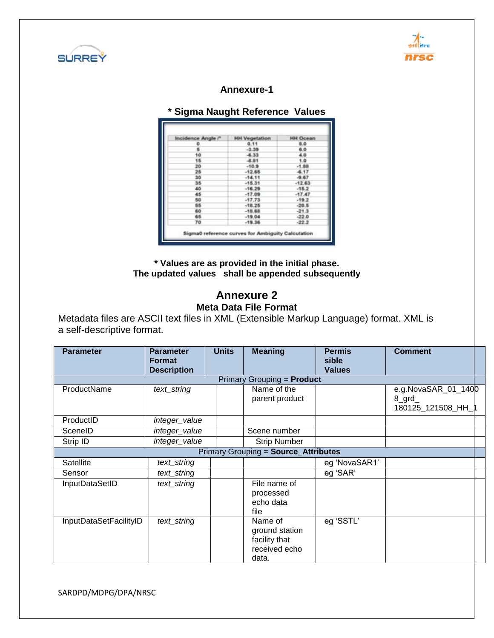



#### **Annexure-1**

| Incidence Angle /* | <b>HH Vegetation</b> | <b>HH Ocean</b> |
|--------------------|----------------------|-----------------|
|                    | 0.11                 | 8.0             |
|                    | $-3.39$              | 6.0             |
| ۹O                 | $-6.33$              | 4.0             |
|                    | -8.81                | $\overline{10}$ |
| 20                 | $-10.9$              | $-1.88$         |
| 25                 | $-12.65$             | 4.17            |
| 30                 | $-14.11$             | $-9.67$         |
| 35                 | $-15.31$             | $-1263$         |
| 40                 | $-16.29$             | $-15.2$         |
| 45                 | $-17.09$             | $-17.47$        |
| 50                 | $-17.73$             | $-19.2$         |
| 65                 | $-18.25$             | $-20.5$         |
| 60                 | $-18.68$             | $-21.3$         |
| 65                 | $-19.04$             | $-22.0$         |
| 70                 | $-19.36$             | $-22.2$         |

**\* Values are as provided in the initial phase. The updated values shall be appended subsequently**

#### **Annexure 2 Meta Data File Format**

Metadata files are ASCII text files in XML (Extensible Markup Language) format. XML is a self-descriptive format.

| <b>Parameter</b>       | <b>Parameter</b><br><b>Format</b><br><b>Description</b> | <b>Units</b> | <b>Meaning</b>                                                       | <b>Permis</b><br>sible<br><b>Values</b> | <b>Comment</b>                                       |  |
|------------------------|---------------------------------------------------------|--------------|----------------------------------------------------------------------|-----------------------------------------|------------------------------------------------------|--|
|                        |                                                         |              | Primary Grouping = <b>Product</b>                                    |                                         |                                                      |  |
| ProductName            | text_string                                             |              | Name of the<br>parent product                                        |                                         | e.g.NovaSAR_01_1400<br>$8$ _grd_<br>180125 121508 HH |  |
| ProductID              | integer_value                                           |              |                                                                      |                                         |                                                      |  |
| SceneID                | integer_value                                           |              | Scene number                                                         |                                         |                                                      |  |
| Strip ID               | integer_value                                           |              | <b>Strip Number</b>                                                  |                                         |                                                      |  |
|                        |                                                         |              | <b>Primary Grouping = Source_Attributes</b>                          |                                         |                                                      |  |
| Satellite              | text_string                                             |              |                                                                      | eg 'NovaSAR1'                           |                                                      |  |
| Sensor                 | text_string                                             |              |                                                                      | eg 'SAR'                                |                                                      |  |
| InputDataSetID         | text_string                                             |              | File name of<br>processed<br>echo data<br>file                       |                                         |                                                      |  |
| InputDataSetFacilityID | text_string                                             |              | Name of<br>ground station<br>facility that<br>received echo<br>data. | eg 'SSTL'                               |                                                      |  |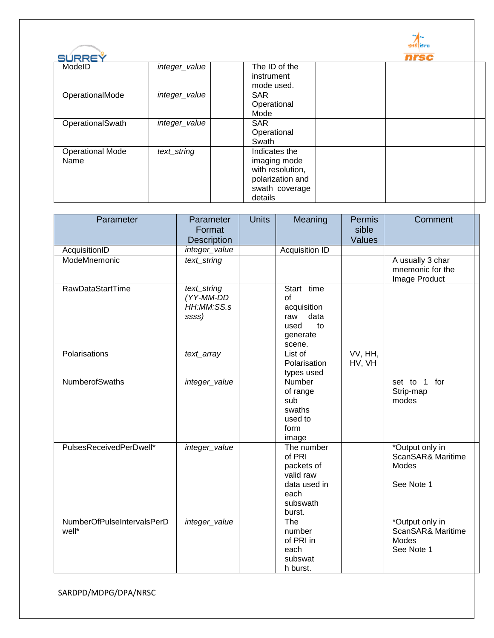|                         |               |                  | <b>Bro</b> |
|-------------------------|---------------|------------------|------------|
| SURREY                  |               |                  | nrsc       |
| ModeID                  | integer_value | The ID of the    |            |
|                         |               | instrument       |            |
|                         |               | mode used.       |            |
| OperationalMode         | integer_value | <b>SAR</b>       |            |
|                         |               | Operational      |            |
|                         |               | Mode             |            |
| OperationalSwath        | integer_value | <b>SAR</b>       |            |
|                         |               | Operational      |            |
|                         |               | Swath            |            |
| <b>Operational Mode</b> | text_string   | Indicates the    |            |
| Name                    |               | imaging mode     |            |
|                         |               | with resolution, |            |
|                         |               | polarization and |            |
|                         |               | swath coverage   |            |
|                         |               | details          |            |

| Parameter                           | Parameter<br>Format                             | <b>Units</b> | Meaning                                                                                       | Permis<br>sible                 | Comment                                                            |
|-------------------------------------|-------------------------------------------------|--------------|-----------------------------------------------------------------------------------------------|---------------------------------|--------------------------------------------------------------------|
|                                     | <b>Description</b>                              |              | Acquisition ID                                                                                | Values                          |                                                                    |
| AcquisitionID<br>ModeMnemonic       | integer_value<br>text_string                    |              |                                                                                               |                                 | A usually 3 char                                                   |
|                                     |                                                 |              |                                                                                               |                                 | mnemonic for the<br>Image Product                                  |
| RawDataStartTime                    | text_string<br>(YY-MM-DD<br>HH:MM:SS.s<br>ssss) |              | Start time<br>of<br>acquisition<br>data<br>raw<br>to<br>used<br>generate<br>scene.            |                                 |                                                                    |
| Polarisations                       | text_array                                      |              | List of<br>Polarisation<br>types used                                                         | $\overline{VV}$ , HH,<br>HV, VH |                                                                    |
| <b>NumberofSwaths</b>               | integer_value                                   |              | Number<br>of range<br>sub<br>swaths<br>used to<br>form<br>image                               |                                 | set to 1 for<br>Strip-map<br>modes                                 |
| PulsesReceivedPerDwell*             | integer_value                                   |              | The number<br>of PRI<br>packets of<br>valid raw<br>data used in<br>each<br>subswath<br>burst. |                                 | *Output only in<br>ScanSAR& Maritime<br>Modes<br>See Note 1        |
| NumberOfPulseIntervalsPerD<br>well* | integer_value                                   |              | The<br>number<br>of PRI in<br>each<br>subswat<br>h burst.                                     |                                 | *Output only in<br>ScanSAR& Maritime<br><b>Modes</b><br>See Note 1 |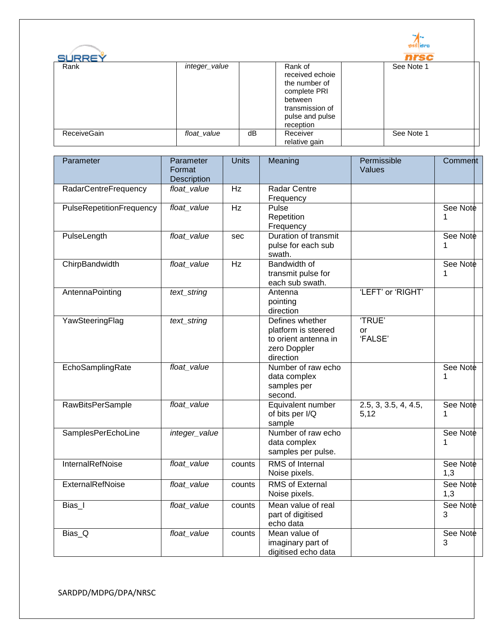

⊤

| <b>SURREY</b> |               |    |                                                                                                                           | nrsc       |
|---------------|---------------|----|---------------------------------------------------------------------------------------------------------------------------|------------|
| Rank          | integer_value |    | Rank of<br>received echoie<br>the number of<br>complete PRI<br>between<br>transmission of<br>pulse and pulse<br>reception | See Note 1 |
| ReceiveGain   | float_value   | dB | Receiver<br>relative gain                                                                                                 | See Note 1 |

| Parameter                | Parameter<br>Format<br>Description | <b>Units</b> | Meaning                                                                                     | Permissible<br>Values        | Comment         |
|--------------------------|------------------------------------|--------------|---------------------------------------------------------------------------------------------|------------------------------|-----------------|
| RadarCentreFrequency     | float_value                        | Hz           | Radar Centre<br>Frequency                                                                   |                              |                 |
| PulseRepetitionFrequency | float_value                        | Hz           | Pulse<br>Repetition<br>Frequency                                                            |                              | See Note<br>1   |
| PulseLength              | float_value                        | sec          | Duration of transmit<br>pulse for each sub<br>swath.                                        |                              | See Note<br>1   |
| ChirpBandwidth           | float_value                        | Hz           | <b>Bandwidth of</b><br>transmit pulse for<br>each sub swath.                                |                              | See Note<br>1   |
| AntennaPointing          | text_string                        |              | Antenna<br>pointing<br>direction                                                            | 'LEFT' or 'RIGHT'            |                 |
| YawSteeringFlag          | text_string                        |              | Defines whether<br>platform is steered<br>to orient antenna in<br>zero Doppler<br>direction | 'TRUE'<br>or<br>'FALSE'      |                 |
| EchoSamplingRate         | float_value                        |              | Number of raw echo<br>data complex<br>samples per<br>second.                                |                              | See Note<br>1   |
| <b>RawBitsPerSample</b>  | float_value                        |              | Equivalent number<br>of bits per I/Q<br>sample                                              | 2.5, 3, 3.5, 4, 4.5,<br>5,12 | See Note<br>1   |
| SamplesPerEchoLine       | integer_value                      |              | Number of raw echo<br>data complex<br>samples per pulse.                                    |                              | See Note<br>1   |
| <b>InternalRefNoise</b>  | float_value                        | counts       | <b>RMS</b> of Internal<br>Noise pixels.                                                     |                              | See Note<br>1,3 |
| <b>ExternalRefNoise</b>  | float_value                        | counts       | <b>RMS of External</b><br>Noise pixels.                                                     |                              | See Note<br>1,3 |
| Bias_I                   | float_value                        | counts       | Mean value of real<br>part of digitised<br>echo data                                        |                              | See Note<br>3   |
| Bias_Q                   | float_value                        | counts       | Mean value of<br>imaginary part of<br>digitised echo data                                   |                              | See Note<br>3   |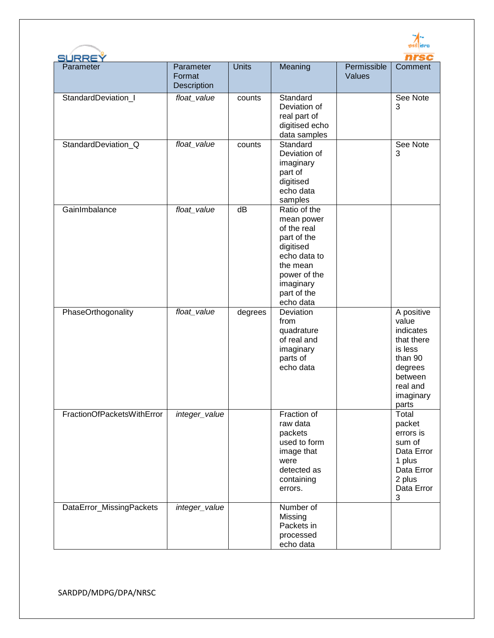| SURREY<br>Parameter        | Parameter<br>Format<br>Description | <b>Units</b>    | Meaning                                                                                                                                                    | Permissible<br>Values | Comment                                                                                                                      |
|----------------------------|------------------------------------|-----------------|------------------------------------------------------------------------------------------------------------------------------------------------------------|-----------------------|------------------------------------------------------------------------------------------------------------------------------|
| StandardDeviation_I        | float_value                        | counts          | Standard<br>Deviation of<br>real part of<br>digitised echo<br>data samples                                                                                 |                       | See Note<br>3                                                                                                                |
| StandardDeviation_Q        | float_value                        | counts          | Standard<br>Deviation of<br>imaginary<br>part of<br>digitised<br>echo data<br>samples                                                                      |                       | See Note<br>3                                                                                                                |
| GainImbalance              | float_value                        | $\overline{dB}$ | Ratio of the<br>mean power<br>of the real<br>part of the<br>digitised<br>echo data to<br>the mean<br>power of the<br>imaginary<br>part of the<br>echo data |                       |                                                                                                                              |
| PhaseOrthogonality         | float_value                        | degrees         | Deviation<br>from<br>quadrature<br>of real and<br>imaginary<br>parts of<br>echo data                                                                       |                       | A positive<br>value<br>indicates<br>that there<br>is less<br>than 90<br>degrees<br>between<br>real and<br>imaginary<br>parts |
| FractionOfPacketsWithError | integer_value                      |                 | Fraction of<br>raw data<br>packets<br>used to form<br>image that<br>were<br>detected as<br>containing<br>errors.                                           |                       | Total<br>packet<br>errors is<br>sum of<br>Data Error<br>1 plus<br>Data Error<br>2 plus<br>Data Error<br>$\sqrt{3}$           |
| DataError_MissingPackets   | integer_value                      |                 | Number of<br>Missing<br>Packets in<br>processed<br>echo data                                                                                               |                       |                                                                                                                              |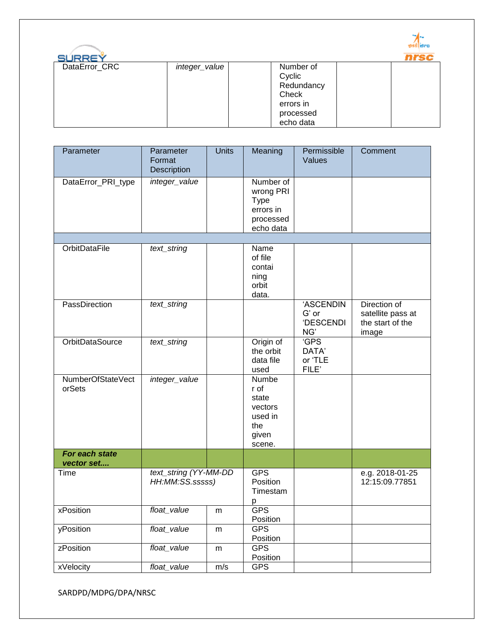

| SURREY        |               |            |  |
|---------------|---------------|------------|--|
| DataError_CRC | integer_value | Number of  |  |
|               |               | Cyclic     |  |
|               |               | Redundancy |  |
|               |               | Check      |  |
|               |               | errors in  |  |
|               |               | processed  |  |
|               |               | echo data  |  |

| Parameter                    | Parameter<br>Format<br>Description       | <b>Units</b> | Meaning                                                                      | Permissible<br>Values                         | Comment                                                        |
|------------------------------|------------------------------------------|--------------|------------------------------------------------------------------------------|-----------------------------------------------|----------------------------------------------------------------|
| DataError_PRI_type           | integer_value                            |              | Number of<br>wrong PRI<br><b>Type</b><br>errors in<br>processed<br>echo data |                                               |                                                                |
|                              |                                          |              |                                                                              |                                               |                                                                |
| <b>OrbitDataFile</b>         | text_string                              |              | Name<br>of file<br>contai<br>ning<br>orbit<br>data.                          |                                               |                                                                |
| PassDirection                | text_string                              |              |                                                                              | 'ASCENDIN<br>G' or<br><b>'DESCENDI</b><br>NG' | Direction of<br>satellite pass at<br>the start of the<br>image |
| <b>OrbitDataSource</b>       | text_string                              |              | Origin of<br>the orbit<br>data file<br>used                                  | 'GPS<br>DATA'<br>or 'TLE<br>FILE'             |                                                                |
| NumberOfStateVect<br>orSets  | integer_value                            |              | Numbe<br>r of<br>state<br>vectors<br>used in<br>the<br>given<br>scene.       |                                               |                                                                |
| For each state<br>vector set |                                          |              |                                                                              |                                               |                                                                |
| Time                         | text_string (YY-MM-DD<br>HH:MM:SS.sssss) |              | <b>GPS</b><br>Position<br>Timestam<br>р                                      |                                               | e.g. 2018-01-25<br>12:15:09.77851                              |
| xPosition                    | float_value                              | m            | <b>GPS</b><br>Position                                                       |                                               |                                                                |
| yPosition                    | float_value                              | m            | <b>GPS</b><br>Position                                                       |                                               |                                                                |
| zPosition                    | float_value                              | m            | <b>GPS</b><br>Position                                                       |                                               |                                                                |
| xVelocity                    | float_value                              | m/s          | <b>GPS</b>                                                                   |                                               |                                                                |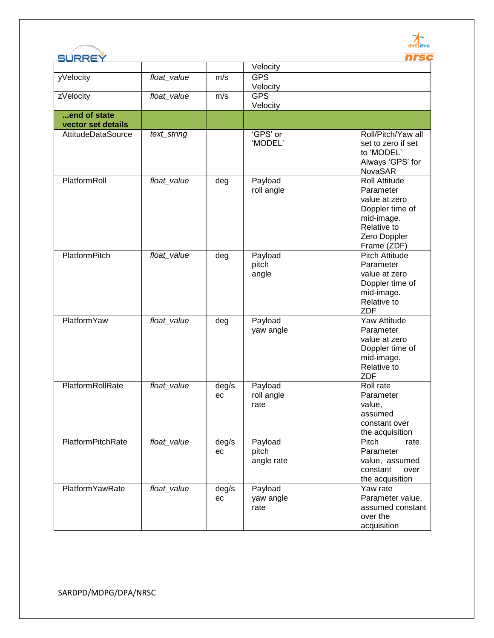

| SURREY                   |             |             |                                | nrsc                                                                                                                              |
|--------------------------|-------------|-------------|--------------------------------|-----------------------------------------------------------------------------------------------------------------------------------|
|                          |             |             | Velocity                       |                                                                                                                                   |
| yVelocity                | float_value | m/s         | <b>GPS</b><br>Velocity         |                                                                                                                                   |
| zVelocity                | float_value | m/s         | <b>GPS</b><br>Velocity         |                                                                                                                                   |
| end of state             |             |             |                                |                                                                                                                                   |
| vector set details       |             |             |                                |                                                                                                                                   |
| AttitudeDataSource       | text_string |             | 'GPS' or<br>'MODEL'            | Roll/Pitch/Yaw all<br>set to zero if set<br>to 'MODEL'<br>Always 'GPS' for<br><b>NovaSAR</b>                                      |
| PlatformRoll             | float_value | deg         | Payload<br>roll angle          | <b>Roll Attitude</b><br>Parameter<br>value at zero<br>Doppler time of<br>mid-image.<br>Relative to<br>Zero Doppler<br>Frame (ZDF) |
| <b>PlatformPitch</b>     | float_value | deg         | Payload<br>pitch<br>angle      | <b>Pitch Attitude</b><br>Parameter<br>value at zero<br>Doppler time of<br>mid-image.<br>Relative to<br><b>ZDF</b>                 |
| <b>PlatformYaw</b>       | float_value | deg         | Payload<br>yaw angle           | Yaw Attitude<br>Parameter<br>value at zero<br>Doppler time of<br>mid-image.<br>Relative to<br><b>ZDF</b>                          |
| PlatformRollRate         | float_value | deg/s<br>ec | Payload<br>roll angle<br>rate  | Roll rate<br>Parameter<br>value,<br>assumed<br>constant over<br>the acquisition                                                   |
| <b>PlatformPitchRate</b> | float_value | deg/s<br>ec | Payload<br>pitch<br>angle rate | Pitch<br>rate<br>Parameter<br>value, assumed<br>constant<br>over<br>the acquisition                                               |
| <b>PlatformYawRate</b>   | float_value | deg/s<br>ec | Payload<br>yaw angle<br>rate   | Yaw rate<br>Parameter value,<br>assumed constant<br>over the<br>acquisition                                                       |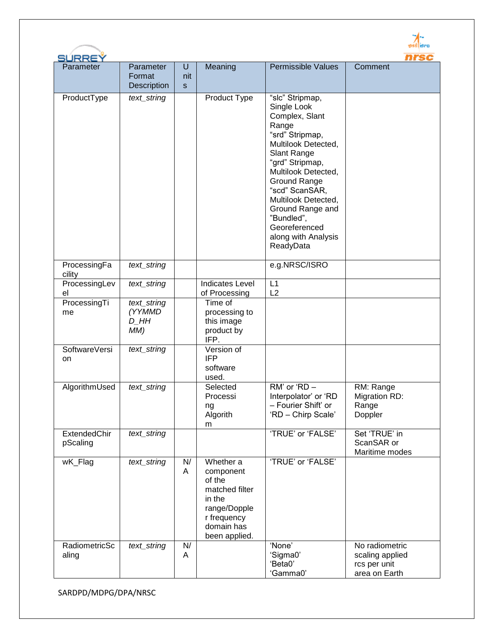| SÚRREÝ                                                                                     |                                                                    |              |                                                                                                                                                                                                   |                                                                                                                                                            | nrs                                                                                                      |
|--------------------------------------------------------------------------------------------|--------------------------------------------------------------------|--------------|---------------------------------------------------------------------------------------------------------------------------------------------------------------------------------------------------|------------------------------------------------------------------------------------------------------------------------------------------------------------|----------------------------------------------------------------------------------------------------------|
| Parameter                                                                                  | Parameter                                                          | U            | Meaning                                                                                                                                                                                           | <b>Permissible Values</b>                                                                                                                                  | Comment                                                                                                  |
|                                                                                            | Format                                                             | nit          |                                                                                                                                                                                                   |                                                                                                                                                            |                                                                                                          |
|                                                                                            | <b>Description</b>                                                 | $\mathbf{s}$ |                                                                                                                                                                                                   |                                                                                                                                                            |                                                                                                          |
| ProductType                                                                                | text_string                                                        |              | Product Type                                                                                                                                                                                      | "slc" Stripmap,<br>Single Look                                                                                                                             |                                                                                                          |
|                                                                                            |                                                                    |              |                                                                                                                                                                                                   | Complex, Slant                                                                                                                                             |                                                                                                          |
|                                                                                            |                                                                    |              |                                                                                                                                                                                                   | Range                                                                                                                                                      |                                                                                                          |
|                                                                                            |                                                                    |              |                                                                                                                                                                                                   | "srd" Stripmap,<br>Multilook Detected,                                                                                                                     |                                                                                                          |
|                                                                                            |                                                                    |              |                                                                                                                                                                                                   | Slant Range                                                                                                                                                |                                                                                                          |
|                                                                                            |                                                                    |              |                                                                                                                                                                                                   | "grd" Stripmap,                                                                                                                                            |                                                                                                          |
|                                                                                            |                                                                    |              |                                                                                                                                                                                                   | Multilook Detected,                                                                                                                                        |                                                                                                          |
|                                                                                            |                                                                    |              |                                                                                                                                                                                                   | "scd" ScanSAR,                                                                                                                                             |                                                                                                          |
|                                                                                            |                                                                    |              |                                                                                                                                                                                                   | Multilook Detected,                                                                                                                                        |                                                                                                          |
|                                                                                            |                                                                    |              |                                                                                                                                                                                                   |                                                                                                                                                            |                                                                                                          |
|                                                                                            |                                                                    |              |                                                                                                                                                                                                   | Georeferenced                                                                                                                                              |                                                                                                          |
|                                                                                            |                                                                    |              |                                                                                                                                                                                                   | along with Analysis                                                                                                                                        |                                                                                                          |
|                                                                                            |                                                                    |              |                                                                                                                                                                                                   |                                                                                                                                                            |                                                                                                          |
| ProcessingFa<br>cility                                                                     | text_string                                                        |              |                                                                                                                                                                                                   | e.g.NRSC/ISRO                                                                                                                                              |                                                                                                          |
| el                                                                                         |                                                                    |              | of Processing                                                                                                                                                                                     | L2                                                                                                                                                         |                                                                                                          |
|                                                                                            |                                                                    |              |                                                                                                                                                                                                   |                                                                                                                                                            |                                                                                                          |
|                                                                                            | D HH                                                               |              |                                                                                                                                                                                                   |                                                                                                                                                            |                                                                                                          |
|                                                                                            | MM)                                                                |              | product by                                                                                                                                                                                        |                                                                                                                                                            |                                                                                                          |
|                                                                                            |                                                                    |              |                                                                                                                                                                                                   |                                                                                                                                                            |                                                                                                          |
| on                                                                                         |                                                                    |              | <b>IFP</b>                                                                                                                                                                                        |                                                                                                                                                            |                                                                                                          |
|                                                                                            |                                                                    |              | software                                                                                                                                                                                          |                                                                                                                                                            |                                                                                                          |
|                                                                                            |                                                                    |              |                                                                                                                                                                                                   |                                                                                                                                                            |                                                                                                          |
|                                                                                            |                                                                    |              |                                                                                                                                                                                                   |                                                                                                                                                            |                                                                                                          |
|                                                                                            |                                                                    |              | ng                                                                                                                                                                                                | - Fourier Shift' or                                                                                                                                        | Range                                                                                                    |
|                                                                                            |                                                                    |              |                                                                                                                                                                                                   |                                                                                                                                                            |                                                                                                          |
| ExtendedChir                                                                               | text_string                                                        |              |                                                                                                                                                                                                   | 'TRUE' or 'FALSE'                                                                                                                                          | Set 'TRUE' in                                                                                            |
|                                                                                            |                                                                    |              |                                                                                                                                                                                                   |                                                                                                                                                            |                                                                                                          |
| wK_Flag                                                                                    | text_string                                                        | N/           | Whether a                                                                                                                                                                                         | 'TRUE' or 'FALSE'                                                                                                                                          |                                                                                                          |
|                                                                                            |                                                                    | A            | component                                                                                                                                                                                         |                                                                                                                                                            |                                                                                                          |
|                                                                                            |                                                                    |              |                                                                                                                                                                                                   |                                                                                                                                                            |                                                                                                          |
|                                                                                            |                                                                    |              | in the                                                                                                                                                                                            |                                                                                                                                                            |                                                                                                          |
|                                                                                            |                                                                    |              | range/Dopple                                                                                                                                                                                      |                                                                                                                                                            |                                                                                                          |
|                                                                                            |                                                                    |              |                                                                                                                                                                                                   |                                                                                                                                                            |                                                                                                          |
|                                                                                            |                                                                    |              | been applied.                                                                                                                                                                                     |                                                                                                                                                            |                                                                                                          |
| RadiometricSc                                                                              | text_string                                                        | N/           |                                                                                                                                                                                                   | 'None'                                                                                                                                                     | No radiometric                                                                                           |
|                                                                                            |                                                                    |              |                                                                                                                                                                                                   |                                                                                                                                                            |                                                                                                          |
|                                                                                            |                                                                    |              |                                                                                                                                                                                                   | 'Gamma0'                                                                                                                                                   | area on Earth                                                                                            |
| ProcessingLev<br>ProcessingTi<br>me<br>SoftwareVersi<br>AlgorithmUsed<br>pScaling<br>aling | text_string<br>text_string<br>(YYMMD<br>text_string<br>text_string | A            | <b>Indicates Level</b><br>Time of<br>processing to<br>this image<br>IFP.<br>Version of<br>used.<br>Selected<br>Processi<br>Algorith<br>m<br>of the<br>matched filter<br>r frequency<br>domain has | Ground Range<br>Ground Range and<br>"Bundled",<br>ReadyData<br>L1<br>$RM'$ or 'RD $-$<br>Interpolator' or 'RD<br>'RD - Chirp Scale'<br>'Sigma0'<br>'Beta0' | RM: Range<br>Migration RD:<br>Doppler<br>ScanSAR or<br>Maritime modes<br>scaling applied<br>rcs per unit |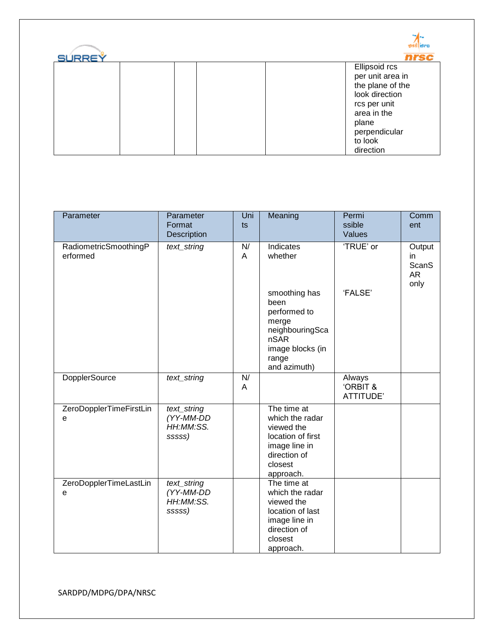| <b>SURREY</b> |  | ged jero<br>nrsc                                                                                                                                         |
|---------------|--|----------------------------------------------------------------------------------------------------------------------------------------------------------|
|               |  | Ellipsoid rcs<br>per unit area in<br>the plane of the<br>look direction<br>rcs per unit<br>area in the<br>plane<br>perpendicular<br>to look<br>direction |

| Parameter                         | Parameter<br>Format<br>Description              | Uni<br>ts | Meaning                                                                                                                    | Permi<br>ssible<br>Values                 | Comm<br>ent                                |
|-----------------------------------|-------------------------------------------------|-----------|----------------------------------------------------------------------------------------------------------------------------|-------------------------------------------|--------------------------------------------|
| RadiometricSmoothingP<br>erformed | text_string                                     | N/<br>A   | Indicates<br>whether                                                                                                       | 'TRUE' or                                 | Output<br>in<br><b>ScanS</b><br>AR<br>only |
|                                   |                                                 |           | smoothing has<br>been<br>performed to<br>merge<br>neighbouringSca<br>nSAR<br>image blocks (in<br>range<br>and azimuth)     | 'FALSE'                                   |                                            |
| <b>DopplerSource</b>              | text_string                                     | N/<br>A   |                                                                                                                            | Always<br><b>ORBIT &amp;</b><br>ATTITUDE' |                                            |
| ZeroDopplerTimeFirstLin<br>e      | text_string<br>(YY-MM-DD<br>HH:MM:SS.<br>sssss) |           | The time at<br>which the radar<br>viewed the<br>location of first<br>image line in<br>direction of<br>closest<br>approach. |                                           |                                            |
| ZeroDopplerTimeLastLin<br>e       | text_string<br>(YY-MM-DD<br>HH:MM:SS.<br>sssss) |           | The time at<br>which the radar<br>viewed the<br>location of last<br>image line in<br>direction of<br>closest<br>approach.  |                                           |                                            |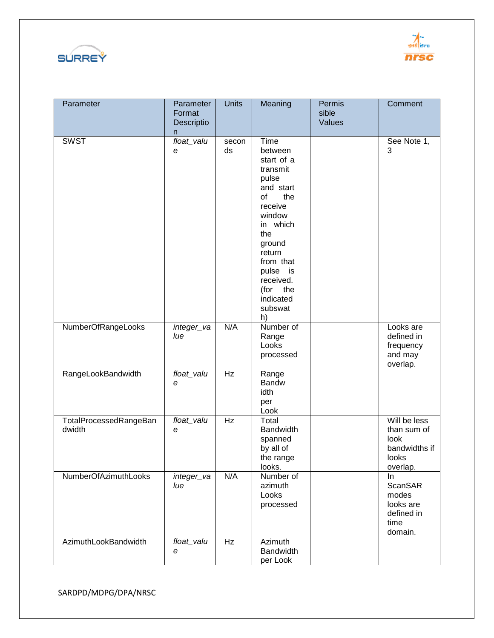



| Parameter                        | Parameter<br>Format<br>Descriptio<br>n | <b>Units</b> | Meaning                                                                                                                                                                                                                     | Permis<br>sible<br>Values | Comment                                                                   |
|----------------------------------|----------------------------------------|--------------|-----------------------------------------------------------------------------------------------------------------------------------------------------------------------------------------------------------------------------|---------------------------|---------------------------------------------------------------------------|
| <b>SWST</b>                      | float_valu<br>е                        | secon<br>ds  | Time<br>between<br>start of a<br>transmit<br>pulse<br>and start<br>of<br>the<br>receive<br>window<br>in which<br>the<br>ground<br>return<br>from that<br>pulse is<br>received.<br>the<br>(for<br>indicated<br>subswat<br>h) |                           | See Note 1,<br>3                                                          |
| NumberOfRangeLooks               | integer_va<br>lue                      | N/A          | Number of<br>Range<br>Looks<br>processed                                                                                                                                                                                    |                           | Looks are<br>defined in<br>frequency<br>and may<br>overlap.               |
| RangeLookBandwidth               | float_valu<br>е                        | Hz           | Range<br>Bandw<br>idth<br>per<br>Look                                                                                                                                                                                       |                           |                                                                           |
| TotalProcessedRangeBan<br>dwidth | float_valu<br>e                        | Hz           | Total<br><b>Bandwidth</b><br>spanned<br>by all of<br>the range<br>looks.                                                                                                                                                    |                           | Will be less<br>than sum of<br>look<br>bandwidths if<br>looks<br>overlap. |
| NumberOfAzimuthLooks             | integer_va<br>lue                      | N/A          | Number of<br>azimuth<br>Looks<br>processed                                                                                                                                                                                  |                           | In.<br>ScanSAR<br>modes<br>looks are<br>defined in<br>time<br>domain.     |
| AzimuthLookBandwidth             | float_valu<br>е                        | Hz           | Azimuth<br><b>Bandwidth</b><br>per Look                                                                                                                                                                                     |                           |                                                                           |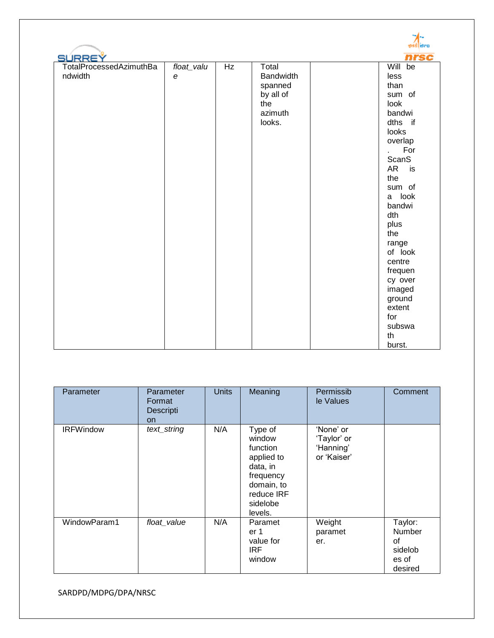|                         |                         |    |                  | gad i Bro       |
|-------------------------|-------------------------|----|------------------|-----------------|
| <b>SURREY</b>           |                         |    |                  | nrsc            |
| TotalProcessedAzimuthBa | float_valu              | Hz | Total            | Will be         |
| ndwidth                 | $\boldsymbol{\epsilon}$ |    | <b>Bandwidth</b> | less            |
|                         |                         |    | spanned          | than            |
|                         |                         |    | by all of        | sum of          |
|                         |                         |    | the              | look            |
|                         |                         |    | azimuth          | bandwi          |
|                         |                         |    | looks.           | dths if         |
|                         |                         |    |                  | looks           |
|                         |                         |    |                  | overlap         |
|                         |                         |    |                  | For             |
|                         |                         |    |                  | ScanS           |
|                         |                         |    |                  | <b>AR</b><br>is |
|                         |                         |    |                  | the             |
|                         |                         |    |                  | sum of          |
|                         |                         |    |                  | a look          |
|                         |                         |    |                  | bandwi          |
|                         |                         |    |                  | dth             |
|                         |                         |    |                  | plus            |
|                         |                         |    |                  | the             |
|                         |                         |    |                  | range           |
|                         |                         |    |                  | of look         |
|                         |                         |    |                  | centre          |
|                         |                         |    |                  | frequen         |
|                         |                         |    |                  | cy over         |
|                         |                         |    |                  | imaged          |
|                         |                         |    |                  | ground          |
|                         |                         |    |                  | extent          |
|                         |                         |    |                  | for             |
|                         |                         |    |                  | subswa          |
|                         |                         |    |                  | th              |
|                         |                         |    |                  | burst.          |

| Parameter        | Parameter<br>Format<br>Descripti<br>on | <b>Units</b> | Meaning                                                                                                                 | Permissib<br>le Values                               | Comment                                                |
|------------------|----------------------------------------|--------------|-------------------------------------------------------------------------------------------------------------------------|------------------------------------------------------|--------------------------------------------------------|
| <b>IRFWindow</b> | text_string                            | N/A          | Type of<br>window<br>function<br>applied to<br>data, in<br>frequency<br>domain, to<br>reduce IRF<br>sidelobe<br>levels. | 'None' or<br>'Taylor' or<br>'Hanning'<br>or 'Kaiser' |                                                        |
| WindowParam1     | float_value                            | N/A          | Paramet<br>er 1<br>value for<br><b>IRF</b><br>window                                                                    | Weight<br>paramet<br>er.                             | Taylor:<br>Number<br>οf<br>sidelob<br>es of<br>desired |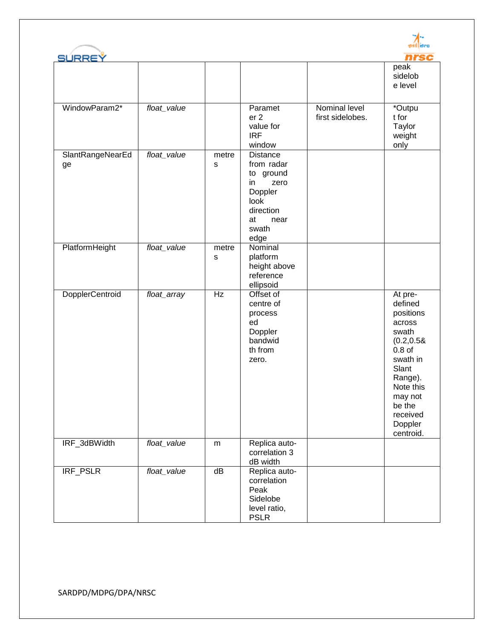



| <b>SURREY</b>          |             |                      |                                                                                                                   |                                   | nrsc                                                                                                                                                                                |
|------------------------|-------------|----------------------|-------------------------------------------------------------------------------------------------------------------|-----------------------------------|-------------------------------------------------------------------------------------------------------------------------------------------------------------------------------------|
|                        |             |                      |                                                                                                                   |                                   | peak<br>sidelob<br>e level                                                                                                                                                          |
| WindowParam2*          | float_value |                      | Paramet<br>er <sub>2</sub><br>value for<br><b>IRF</b><br>window                                                   | Nominal level<br>first sidelobes. | *Outpu<br>t for<br>Taylor<br>weight<br>only                                                                                                                                         |
| SlantRangeNearEd<br>ge | float_value | metre<br>s           | Distance<br>from radar<br>to ground<br>zero<br>in.<br>Doppler<br>look<br>direction<br>at<br>near<br>swath<br>edge |                                   |                                                                                                                                                                                     |
| PlatformHeight         | float_value | metre<br>$\mathbf S$ | Nominal<br>platform<br>height above<br>reference<br>ellipsoid                                                     |                                   |                                                                                                                                                                                     |
| DopplerCentroid        | float_array | Hz                   | Offset of<br>centre of<br>process<br>ed<br>Doppler<br>bandwid<br>th from<br>zero.                                 |                                   | At pre-<br>defined<br>positions<br>across<br>swath<br>(0.2, 0.58)<br>$0.8$ of<br>swath in<br>Slant<br>Range).<br>Note this<br>may not<br>be the<br>received<br>Doppler<br>centroid. |
| IRF_3dBWidth           | float_value | m                    | Replica auto-<br>correlation 3<br>dB width                                                                        |                                   |                                                                                                                                                                                     |
| <b>IRF PSLR</b>        | float_value | dB                   | Replica auto-<br>correlation<br>Peak<br>Sidelobe<br>level ratio,<br><b>PSLR</b>                                   |                                   |                                                                                                                                                                                     |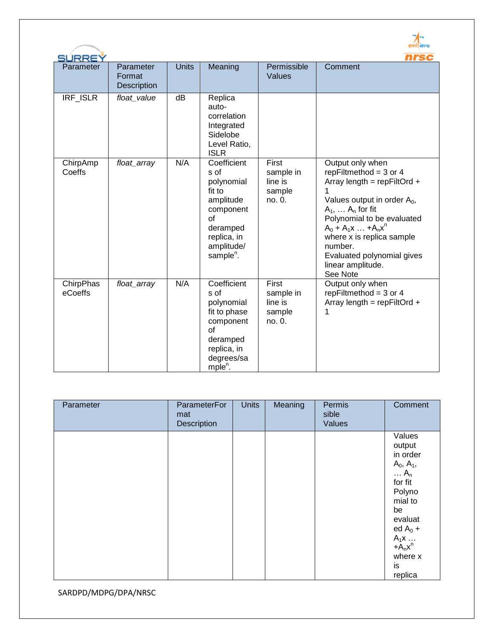|                      |                                    |              |                                                                                                                                               |                                                   | nrsc                                                                                                                                                                                                                                                                                                        |
|----------------------|------------------------------------|--------------|-----------------------------------------------------------------------------------------------------------------------------------------------|---------------------------------------------------|-------------------------------------------------------------------------------------------------------------------------------------------------------------------------------------------------------------------------------------------------------------------------------------------------------------|
| SURREY<br>Parameter  | Parameter<br>Format<br>Description | <b>Units</b> | Meaning                                                                                                                                       | Permissible<br>Values                             | Comment                                                                                                                                                                                                                                                                                                     |
| IRF_ISLR             | float_value                        | dB           | Replica<br>auto-<br>correlation<br>Integrated<br>Sidelobe<br>Level Ratio,<br><b>ISLR</b>                                                      |                                                   |                                                                                                                                                                                                                                                                                                             |
| ChirpAmp<br>Coeffs   | float_array                        | N/A          | Coefficient<br>s of<br>polynomial<br>fit to<br>amplitude<br>component<br>of<br>deramped<br>replica, in<br>amplitude/<br>sample <sup>n</sup> . | First<br>sample in<br>line is<br>sample<br>no. 0. | Output only when<br>repFiltmethod = $3$ or 4<br>Array length = $repFiltOrd +$<br>Values output in order $A_0$ ,<br>$A_1, \ldots A_n$ for fit<br>Polynomial to be evaluated<br>$A_0 + A_1x  + A_nx^n$<br>where x is replica sample<br>number.<br>Evaluated polynomial gives<br>linear amplitude.<br>See Note |
| ChirpPhas<br>eCoeffs | float_array                        | N/A          | Coefficient<br>s of<br>polynomial<br>fit to phase<br>component<br>$\Omega$<br>deramped<br>replica, in<br>degrees/sa<br>mple <sup>n</sup> .    | First<br>sample in<br>line is<br>sample<br>no. 0. | Output only when<br>repFiltmethod = $3$ or $4$<br>Array length = $repFiltOrd +$<br>1                                                                                                                                                                                                                        |

| Parameter | <b>ParameterFor</b><br>mat<br>Description | <b>Units</b> | Meaning | Permis<br>sible<br>Values | Comment                                                                                                                                                                                         |
|-----------|-------------------------------------------|--------------|---------|---------------------------|-------------------------------------------------------------------------------------------------------------------------------------------------------------------------------------------------|
|           |                                           |              |         |                           | Values<br>output<br>in order<br>$A_0, A_1,$<br>$\ldots$ A <sub>n</sub><br>for fit<br>Polyno<br>mial to<br>be<br>evaluat<br>ed $A_0$ +<br>$A_1x \dots$<br>+ $A_nx^n$<br>where x<br>is<br>replica |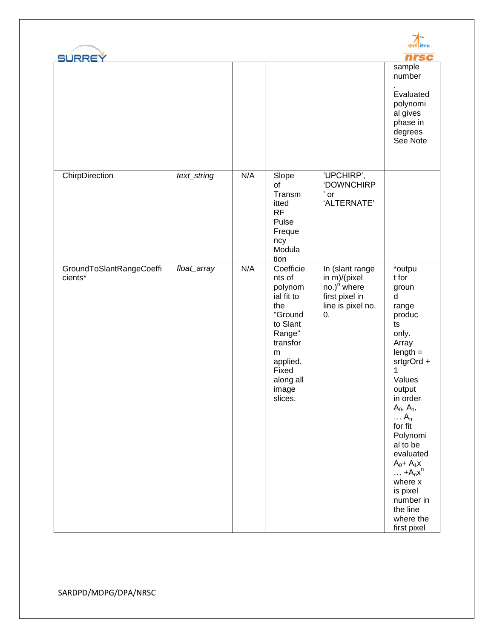| <b>SURREY</b>                       |             |     |                                                                                                                                                             |                                                                                                         | nrsc<br>sample<br>number<br>Evaluated<br>polynomi<br>al gives<br>phase in                                                                                                                                                                                                                                                                                         |
|-------------------------------------|-------------|-----|-------------------------------------------------------------------------------------------------------------------------------------------------------------|---------------------------------------------------------------------------------------------------------|-------------------------------------------------------------------------------------------------------------------------------------------------------------------------------------------------------------------------------------------------------------------------------------------------------------------------------------------------------------------|
| ChirpDirection                      | text_string | N/A | Slope                                                                                                                                                       | 'UPCHIRP',                                                                                              | degrees<br>See Note                                                                                                                                                                                                                                                                                                                                               |
|                                     |             |     | of<br>Transm<br>itted<br>RF<br>Pulse<br>Freque<br>ncy<br>Modula<br>tion                                                                                     | 'DOWNCHIRP<br>$'$ or<br>'ALTERNATE'                                                                     |                                                                                                                                                                                                                                                                                                                                                                   |
| GroundToSlantRangeCoeffi<br>cients* | float_array | N/A | Coefficie<br>nts of<br>polynom<br>ial fit to<br>the<br>"Ground<br>to Slant<br>Range"<br>transfor<br>m<br>applied.<br>Fixed<br>along all<br>image<br>slices. | In (slant range<br>in m)/(pixel<br>no.) <sup>n</sup> where<br>first pixel in<br>line is pixel no.<br>0. | *outpu<br>t for<br>groun<br>d<br>range<br>produc<br>ts<br>only.<br>Array<br>$length =$<br>srtgrOrd +<br>1<br>Values<br>output<br>in order<br>$A_0, A_1,$<br>$\ldots$ A <sub>n</sub><br>for fit<br>Polynomi<br>al to be<br>evaluated<br>$A_0 + A_1x$<br>$\ldots$ +A <sub>n</sub> $x^n$<br>where x<br>is pixel<br>number in<br>the line<br>where the<br>first pixel |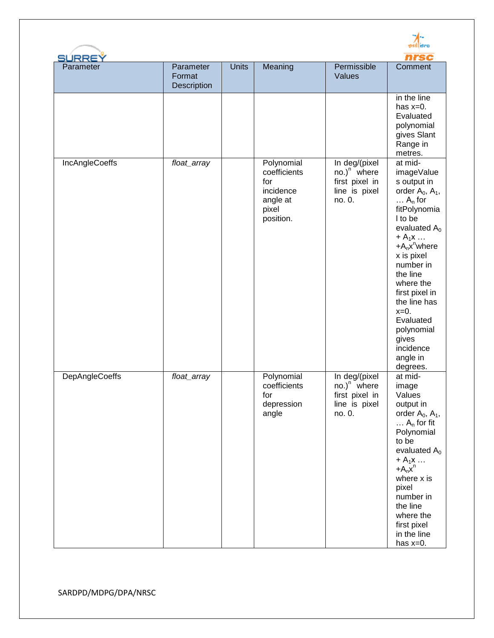| <b>SURREY</b>         |                                    |              |                                                                                  |                                                                              |                                                                                                                                                                                                                                                                                                                                                    |
|-----------------------|------------------------------------|--------------|----------------------------------------------------------------------------------|------------------------------------------------------------------------------|----------------------------------------------------------------------------------------------------------------------------------------------------------------------------------------------------------------------------------------------------------------------------------------------------------------------------------------------------|
| Parameter             | Parameter<br>Format<br>Description | <b>Units</b> | Meaning                                                                          | Permissible<br>Values                                                        | Comment                                                                                                                                                                                                                                                                                                                                            |
|                       |                                    |              |                                                                                  |                                                                              | in the line<br>has $x=0$ .<br>Evaluated<br>polynomial<br>gives Slant<br>Range in<br>metres.                                                                                                                                                                                                                                                        |
| <b>IncAngleCoeffs</b> | float_array                        |              | Polynomial<br>coefficients<br>for<br>incidence<br>angle at<br>pixel<br>position. | In deg/(pixel<br>$no.)n$ where<br>first pixel in<br>line is pixel<br>no. 0.  | at mid-<br>imageValue<br>s output in<br>order $A_0$ , $A_1$ ,<br>$\ldots$ A <sub>n</sub> for<br>fitPolynomia<br>I to be<br>evaluated $A_0$<br>$+A_1x$<br>$+A_nx^n$ where<br>x is pixel<br>number in<br>the line<br>where the<br>first pixel in<br>the line has<br>$x=0$ .<br>Evaluated<br>polynomial<br>gives<br>incidence<br>angle in<br>degrees. |
| DepAngleCoeffs        | float_array                        |              | Polynomial<br>coefficients<br>for<br>depression<br>angle                         | In deg/(pixel<br>$no.)^n$ where<br>first pixel in<br>line is pixel<br>no. 0. | at mid-<br>image<br>Values<br>output in<br>order $A_0$ , $A_1$ ,<br>$\ldots$ A <sub>n</sub> for fit<br>Polynomial<br>to be<br>evaluated $A_0$<br>$+A_1x \ldots$<br>$+A_nx^n$<br>where x is<br>pixel<br>number in<br>the line<br>where the<br>first pixel<br>in the line<br>has $x=0$ .                                                             |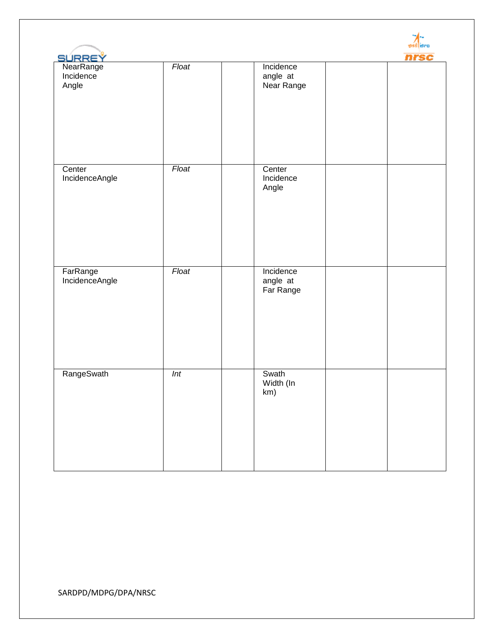| SURREY                          |       |                                     | nrsc |
|---------------------------------|-------|-------------------------------------|------|
| NearRange<br>Incidence<br>Angle | Float | Incidence<br>angle at<br>Near Range |      |
| Center<br>IncidenceAngle        | Float | Center<br>Incidence<br>Angle        |      |
| FarRange<br>IncidenceAngle      | Float | Incidence<br>angle at<br>Far Range  |      |
| RangeSwath                      | Int   | Swath<br>Width (In<br>km)           |      |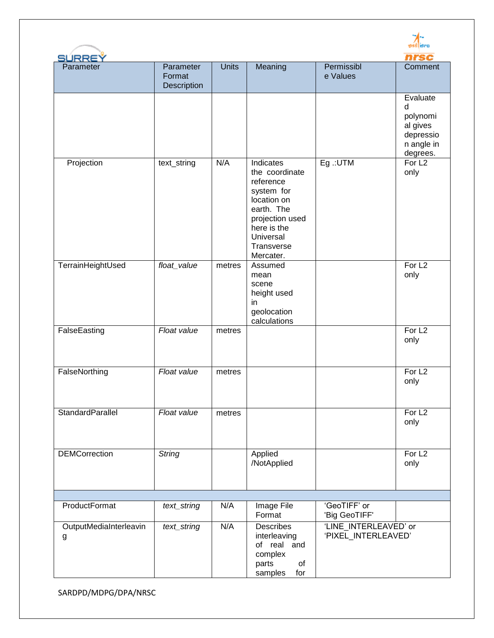| SURREY                      |                                    |              |                                                                                                                                                               |                                              | nrsc                                                                         |
|-----------------------------|------------------------------------|--------------|---------------------------------------------------------------------------------------------------------------------------------------------------------------|----------------------------------------------|------------------------------------------------------------------------------|
| Parameter                   | Parameter<br>Format<br>Description | <b>Units</b> | Meaning                                                                                                                                                       | Permissibl<br>e Values                       | Comment                                                                      |
|                             |                                    |              |                                                                                                                                                               |                                              | Evaluate<br>d<br>polynomi<br>al gives<br>depressio<br>n angle in<br>degrees. |
| Projection                  | text_string                        | N/A          | Indicates<br>the coordinate<br>reference<br>system for<br>location on<br>earth. The<br>projection used<br>here is the<br>Universal<br>Transverse<br>Mercater. | Eg .: UTM                                    | For L <sub>2</sub><br>only                                                   |
| TerrainHeightUsed           | float_value                        | metres       | Assumed<br>mean<br>scene<br>height used<br>in<br>geolocation<br>calculations                                                                                  |                                              | For L <sub>2</sub><br>only                                                   |
| FalseEasting                | Float value                        | metres       |                                                                                                                                                               |                                              | For L <sub>2</sub><br>only                                                   |
| FalseNorthing               | Float value                        | metres       |                                                                                                                                                               |                                              | For L <sub>2</sub><br>only                                                   |
| StandardParallel            | Float value                        | metres       |                                                                                                                                                               |                                              | For L <sub>2</sub><br>only                                                   |
| <b>DEMCorrection</b>        | <b>String</b>                      |              | Applied<br>/NotApplied                                                                                                                                        |                                              | For L <sub>2</sub><br>only                                                   |
| ProductFormat               | text_string                        | N/A          | Image File<br>Format                                                                                                                                          | 'GeoTIFF' or<br>'Big GeoTIFF'                |                                                                              |
| OutputMediaInterleavin<br>g | text_string                        | N/A          | <b>Describes</b><br>interleaving<br>of real and<br>complex<br>parts<br>of<br>samples<br>for                                                                   | 'LINE_INTERLEAVED' or<br>'PIXEL_INTERLEAVED' |                                                                              |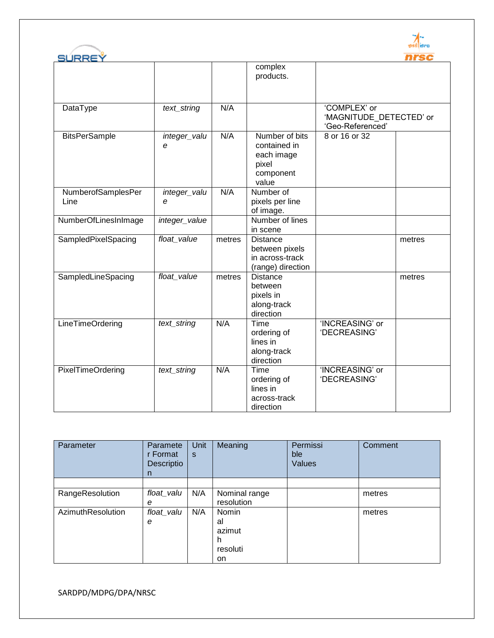



| SURREY                     |                   |        |                                                                             |                                                             | nrsc   |
|----------------------------|-------------------|--------|-----------------------------------------------------------------------------|-------------------------------------------------------------|--------|
|                            |                   |        | complex<br>products.                                                        |                                                             |        |
| DataType                   | text_string       | N/A    |                                                                             | 'COMPLEX' or<br>'MAGNITUDE DETECTED' or<br>'Geo-Referenced' |        |
| <b>BitsPerSample</b>       | integer_valu<br>e | N/A    | Number of bits<br>contained in<br>each image<br>pixel<br>component<br>value | 8 or 16 or 32                                               |        |
| NumberofSamplesPer<br>Line | integer_valu<br>е | N/A    | Number of<br>pixels per line<br>of image.                                   |                                                             |        |
| NumberOfLinesInImage       | integer_value     |        | Number of lines<br>in scene                                                 |                                                             |        |
| SampledPixelSpacing        | float_value       | metres | <b>Distance</b><br>between pixels<br>in across-track<br>(range) direction   |                                                             | metres |
| SampledLineSpacing         | float value       | metres | <b>Distance</b><br>between<br>pixels in<br>along-track<br>direction         |                                                             | metres |
| <b>LineTimeOrdering</b>    | text_string       | N/A    | Time<br>ordering of<br>lines in<br>along-track<br>direction                 | 'INCREASING' or<br>'DECREASING'                             |        |
| <b>PixelTimeOrdering</b>   | text_string       | N/A    | Time<br>ordering of<br>lines in<br>across-track<br>direction                | 'INCREASING' or<br>'DECREASING'                             |        |

| Parameter         | Paramete<br>r Format<br>Descriptio<br>n | Unit<br>S | Meaning                                       | Permissi<br>ble<br><b>Values</b> | Comment |
|-------------------|-----------------------------------------|-----------|-----------------------------------------------|----------------------------------|---------|
|                   |                                         |           |                                               |                                  |         |
| RangeResolution   | float_valu<br>е                         | N/A       | Nominal range<br>resolution                   |                                  | metres  |
| AzimuthResolution | float_valu<br>e                         | N/A       | Nomin<br>al<br>azimut<br>h.<br>resoluti<br>on |                                  | metres  |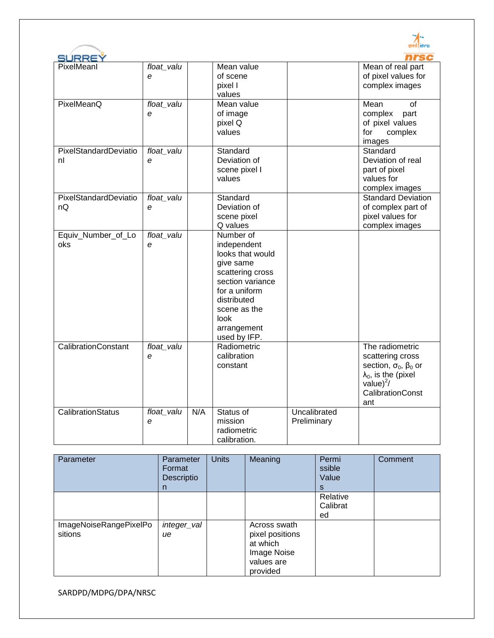| SÚRRE`                      |                 |     |                                                                                                                                                                                          |                             | nrsc                                                                                                                                                       |
|-----------------------------|-----------------|-----|------------------------------------------------------------------------------------------------------------------------------------------------------------------------------------------|-----------------------------|------------------------------------------------------------------------------------------------------------------------------------------------------------|
| PixelMeanl                  | float_valu<br>e |     | Mean value<br>of scene<br>pixel I<br>values                                                                                                                                              |                             | Mean of real part<br>of pixel values for<br>complex images                                                                                                 |
| PixelMeanQ                  | float valu<br>e |     | Mean value<br>of image<br>pixel Q<br>values                                                                                                                                              |                             | Mean<br>οf<br>complex<br>part<br>of pixel values<br>for<br>complex<br>images                                                                               |
| PixelStandardDeviatio<br>nl | float_valu<br>e |     | Standard<br>Deviation of<br>scene pixel I<br>values                                                                                                                                      |                             | Standard<br>Deviation of real<br>part of pixel<br>values for<br>complex images                                                                             |
| PixelStandardDeviatio<br>nQ | float_valu<br>e |     | Standard<br>Deviation of<br>scene pixel<br>Q values                                                                                                                                      |                             | <b>Standard Deviation</b><br>of complex part of<br>pixel values for<br>complex images                                                                      |
| Equiv_Number_of_Lo<br>oks   | float_valu<br>e |     | Number of<br>independent<br>looks that would<br>give same<br>scattering cross<br>section variance<br>for a uniform<br>distributed<br>scene as the<br>look<br>arrangement<br>used by IFP. |                             |                                                                                                                                                            |
| <b>CalibrationConstant</b>  | float_valu<br>e |     | Radiometric<br>calibration<br>constant                                                                                                                                                   |                             | The radiometric<br>scattering cross<br>section, $\sigma_0$ , $\beta_0$ or<br>$\lambda_0$ , is the (pixel<br>value $)^2/$<br><b>CalibrationConst</b><br>ant |
| CalibrationStatus           | float_valu<br>e | N/A | Status of<br>mission<br>radiometric<br>calibration.                                                                                                                                      | Uncalibrated<br>Preliminary |                                                                                                                                                            |

| Parameter                         | Parameter<br>Format<br>Descriptio<br>n | <b>Units</b> | Meaning                                                                              | Permi<br>ssible<br>Value<br>S | Comment |
|-----------------------------------|----------------------------------------|--------------|--------------------------------------------------------------------------------------|-------------------------------|---------|
|                                   |                                        |              |                                                                                      | Relative<br>Calibrat<br>ed    |         |
| ImageNoiseRangePixelPo<br>sitions | integer_val<br>ue                      |              | Across swath<br>pixel positions<br>at which<br>Image Noise<br>values are<br>provided |                               |         |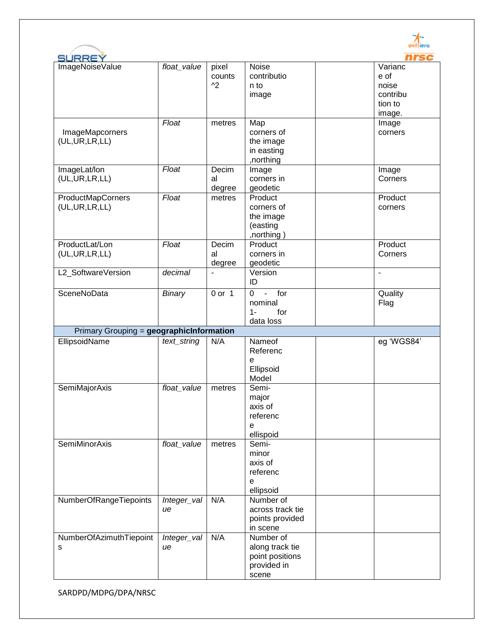| <b>SURREY</b>                            |             |                                    |                              |                     |
|------------------------------------------|-------------|------------------------------------|------------------------------|---------------------|
| ImageNoiseValue                          | float_value | pixel                              | <b>Noise</b>                 | Varianc             |
|                                          |             | counts                             | contributio                  | e of                |
|                                          |             | $^{\wedge2}$                       | n to                         | noise               |
|                                          |             |                                    | image                        | contribu<br>tion to |
|                                          |             |                                    |                              |                     |
|                                          | Float       | metres                             | Map                          | image.<br>Image     |
| ImageMapcorners                          |             |                                    | corners of                   | corners             |
| (UL,UR,LR,LL)                            |             |                                    | the image                    |                     |
|                                          |             |                                    | in easting                   |                     |
|                                          |             |                                    | ,northing                    |                     |
| ImageLat/lon                             | Float       | Decim                              | Image                        | Image               |
| (UL,UR,LR,LL)                            |             | al                                 | corners in                   | Corners             |
|                                          |             | degree                             | geodetic                     |                     |
| ProductMapCorners                        | Float       | metres                             | Product                      | Product             |
| (UL,UR,LR,LL)                            |             |                                    | corners of                   | corners             |
|                                          |             |                                    | the image                    |                     |
|                                          |             |                                    | (easting                     |                     |
|                                          |             |                                    | ,northing)                   | Product             |
| ProductLat/Lon                           | Float       | Decim                              | Product                      | Corners             |
| (UL,UR,LR,LL)                            |             | al                                 | corners in<br>geodetic       |                     |
| L2_SoftwareVersion                       | decimal     | degree<br>$\overline{\phantom{a}}$ | Version                      | $\blacksquare$      |
|                                          |             |                                    | ID                           |                     |
| SceneNoData                              | Binary      | $0$ or $1$                         | for<br>$\mathbf 0$<br>$\Box$ | Quality             |
|                                          |             |                                    | nominal                      | Flag                |
|                                          |             |                                    | for<br>$1 -$                 |                     |
|                                          |             |                                    | data loss                    |                     |
| Primary Grouping = geographicInformation |             |                                    |                              |                     |
| EllipsoidName                            | text_string | N/A                                | Nameof                       | eg 'WGS84'          |
|                                          |             |                                    | Referenc                     |                     |
|                                          |             |                                    | е                            |                     |
|                                          |             |                                    | Ellipsoid                    |                     |
|                                          |             |                                    | Model                        |                     |
| SemiMajorAxis                            | float value | metres                             | Semi-                        |                     |
|                                          |             |                                    | major                        |                     |
|                                          |             |                                    | axis of                      |                     |
|                                          |             |                                    | referenc                     |                     |
|                                          |             |                                    | e<br>ellispoid               |                     |
| <b>SemiMinorAxis</b>                     | float_value | metres                             | Semi-                        |                     |
|                                          |             |                                    | minor                        |                     |
|                                          |             |                                    | axis of                      |                     |
|                                          |             |                                    | referenc                     |                     |
|                                          |             |                                    | e                            |                     |
|                                          |             |                                    | ellipsoid                    |                     |
| NumberOfRangeTiepoints                   | Integer_val | N/A                                | Number of                    |                     |
|                                          | ue          |                                    | across track tie             |                     |
|                                          |             |                                    | points provided              |                     |
|                                          |             |                                    | in scene                     |                     |
| NumberOfAzimuthTiepoint                  | Integer_val | N/A                                | Number of                    |                     |
| s                                        | ue          |                                    | along track tie              |                     |
|                                          |             |                                    | point positions              |                     |
|                                          |             |                                    | provided in<br>scene         |                     |
|                                          |             |                                    |                              |                     |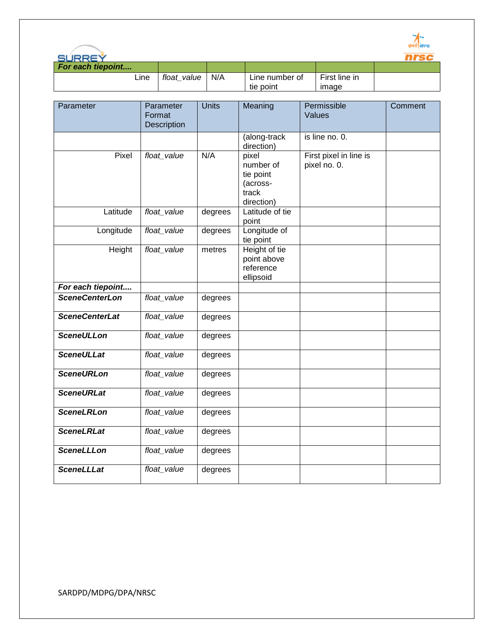

| SURREY            |             |     |                |               |  |
|-------------------|-------------|-----|----------------|---------------|--|
| For each tiepoint |             |     |                |               |  |
| Line              | float value | N/A | Line number of | First line in |  |
|                   |             |     | tie point      | imade         |  |
|                   |             |     |                |               |  |

| Parameter             | Parameter<br>Format<br>Description | <b>Units</b> | Meaning                                                            | Permissible<br>Values                  | Comment |
|-----------------------|------------------------------------|--------------|--------------------------------------------------------------------|----------------------------------------|---------|
|                       |                                    |              | (along-track<br>direction)                                         | is line no. 0.                         |         |
| Pixel                 | float_value                        | N/A          | pixel<br>number of<br>tie point<br>(across-<br>track<br>direction) | First pixel in line is<br>pixel no. 0. |         |
| Latitude              | float_value                        | degrees      | Latitude of tie<br>point                                           |                                        |         |
| Longitude             | float_value                        | degrees      | Longitude of<br>tie point                                          |                                        |         |
| Height                | float_value                        | metres       | Height of tie<br>point above<br>reference<br>ellipsoid             |                                        |         |
| For each tiepoint     |                                    |              |                                                                    |                                        |         |
| <b>SceneCenterLon</b> | float value                        | degrees      |                                                                    |                                        |         |
| <b>SceneCenterLat</b> | float_value                        | degrees      |                                                                    |                                        |         |
| <b>SceneULLon</b>     | float_value                        | degrees      |                                                                    |                                        |         |
| <b>SceneULLat</b>     | float_value                        | degrees      |                                                                    |                                        |         |
| <b>SceneURLon</b>     | float_value                        | degrees      |                                                                    |                                        |         |
| <b>SceneURLat</b>     | float_value                        | degrees      |                                                                    |                                        |         |
| <b>SceneLRLon</b>     | float_value                        | degrees      |                                                                    |                                        |         |
| <b>SceneLRLat</b>     | float_value                        | degrees      |                                                                    |                                        |         |
| <b>SceneLLLon</b>     | float_value                        | degrees      |                                                                    |                                        |         |
| <b>SceneLLLat</b>     | float_value                        | degrees      |                                                                    |                                        |         |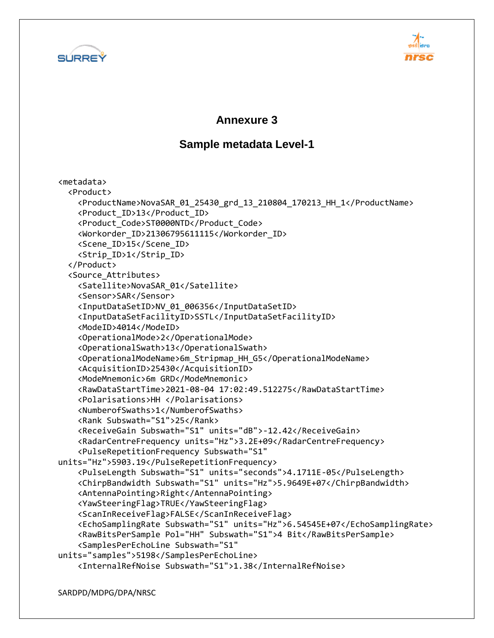



#### **Annexure 3**

#### **Sample metadata Level-1**

<metadata> <Product> <ProductName>NovaSAR\_01\_25430\_grd\_13\_210804\_170213\_HH\_1</ProductName> <Product\_ID>13</Product\_ID> <Product\_Code>ST0000NTD</Product\_Code> <Workorder\_ID>21306795611115</Workorder\_ID> <Scene\_ID>15</Scene\_ID> <Strip\_ID>1</Strip\_ID> </Product> <Source\_Attributes> <Satellite>NovaSAR\_01</Satellite> <Sensor>SAR</Sensor> <InputDataSetID>NV\_01\_006356</InputDataSetID> <InputDataSetFacilityID>SSTL</InputDataSetFacilityID> <ModeID>4014</ModeID> <OperationalMode>2</OperationalMode> <OperationalSwath>13</OperationalSwath> <OperationalModeName>6m\_Stripmap\_HH\_G5</OperationalModeName> <AcquisitionID>25430</AcquisitionID> <ModeMnemonic>6m GRD</ModeMnemonic> <RawDataStartTime>2021-08-04 17:02:49.512275</RawDataStartTime> <Polarisations>HH </Polarisations> <NumberofSwaths>1</NumberofSwaths> <Rank Subswath="S1">25</Rank> <ReceiveGain Subswath="S1" units="dB">-12.42</ReceiveGain> <RadarCentreFrequency units="Hz">3.2E+09</RadarCentreFrequency> <PulseRepetitionFrequency Subswath="S1" units="Hz">5903.19</PulseRepetitionFrequency> <PulseLength Subswath="S1" units="seconds">4.1711E-05</PulseLength> <ChirpBandwidth Subswath="S1" units="Hz">5.9649E+07</ChirpBandwidth> <AntennaPointing>Right</AntennaPointing> <YawSteeringFlag>TRUE</YawSteeringFlag> <ScanInReceiveFlag>FALSE</ScanInReceiveFlag> <EchoSamplingRate Subswath="S1" units="Hz">6.54545E+07</EchoSamplingRate> <RawBitsPerSample Pol="HH" Subswath="S1">4 Bit</RawBitsPerSample> <SamplesPerEchoLine Subswath="S1" units="samples">5198</SamplesPerEchoLine> <InternalRefNoise Subswath="S1">1.38</InternalRefNoise>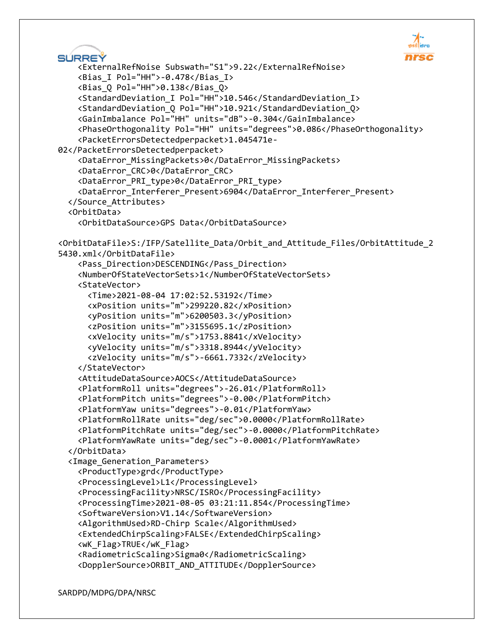```
 <ExternalRefNoise Subswath="S1">9.22</ExternalRefNoise>
     <Bias_I Pol="HH">-0.478</Bias_I>
     <Bias_Q Pol="HH">0.138</Bias_Q>
     <StandardDeviation_I Pol="HH">10.546</StandardDeviation_I>
     <StandardDeviation_Q Pol="HH">10.921</StandardDeviation_Q>
     <GainImbalance Pol="HH" units="dB">-0.304</GainImbalance>
     <PhaseOrthogonality Pol="HH" units="degrees">0.086</PhaseOrthogonality>
     <PacketErrorsDetectedperpacket>1.045471e-
02</PacketErrorsDetectedperpacket>
     <DataError_MissingPackets>0</DataError_MissingPackets>
     <DataError_CRC>0</DataError_CRC>
     <DataError_PRI_type>0</DataError_PRI_type>
     <DataError_Interferer_Present>6904</DataError_Interferer_Present>
   </Source_Attributes>
     <OrbitDataSource>GPS Data</OrbitDataSource>
<OrbitDataFile>S:/IFP/Satellite_Data/Orbit_and_Attitude_Files/OrbitAttitude_2
5430.xml</OrbitDataFile>
     <Pass_Direction>DESCENDING</Pass_Direction>
     <NumberOfStateVectorSets>1</NumberOfStateVectorSets>
       <Time>2021-08-04 17:02:52.53192</Time>
       <xPosition units="m">299220.82</xPosition>
       <yPosition units="m">6200503.3</yPosition>
       <zPosition units="m">3155695.1</zPosition>
       <xVelocity units="m/s">1753.8841</xVelocity>
       <yVelocity units="m/s">3318.8944</yVelocity>
       <zVelocity units="m/s">-6661.7332</zVelocity>
     <AttitudeDataSource>AOCS</AttitudeDataSource>
     <PlatformRoll units="degrees">-26.01</PlatformRoll>
     <PlatformPitch units="degrees">-0.00</PlatformPitch>
     <PlatformYaw units="degrees">-0.01</PlatformYaw>
     <PlatformRollRate units="deg/sec">0.0000</PlatformRollRate>
     <PlatformPitchRate units="deg/sec">-0.0000</PlatformPitchRate>
     <PlatformYawRate units="deg/sec">-0.0001</PlatformYawRate>
```

```
 <Image_Generation_Parameters>
```
 <ProductType>grd</ProductType> <ProcessingLevel>L1</ProcessingLevel> <ProcessingFacility>NRSC/ISRO</ProcessingFacility> <ProcessingTime>2021-08-05 03:21:11.854</ProcessingTime> <SoftwareVersion>V1.14</SoftwareVersion> <AlgorithmUsed>RD-Chirp Scale</AlgorithmUsed> <ExtendedChirpScaling>FALSE</ExtendedChirpScaling> <wK\_Flag>TRUE</wK\_Flag> <RadiometricScaling>Sigma0</RadiometricScaling> <DopplerSource>ORBIT\_AND\_ATTITUDE</DopplerSource>

<OrbitData>

SÚRREÝ

<StateVector>

</StateVector>

</OrbitData>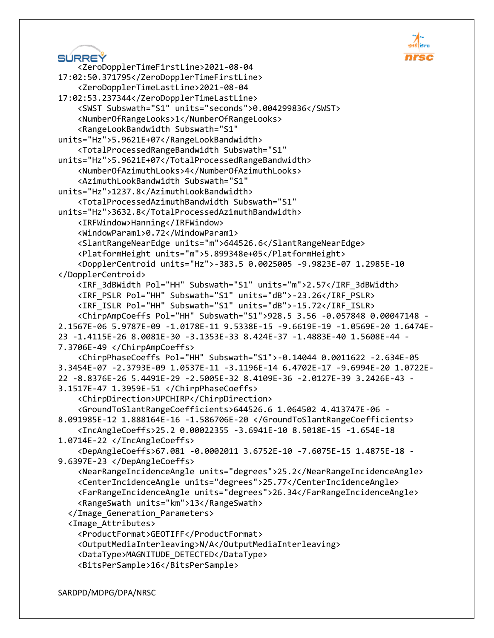

```
SÚRREÝ
     <ZeroDopplerTimeFirstLine>2021-08-04 
17:02:50.371795</ZeroDopplerTimeFirstLine>
     <ZeroDopplerTimeLastLine>2021-08-04 
17:02:53.237344</ZeroDopplerTimeLastLine>
     <SWST Subswath="S1" units="seconds">0.004299836</SWST>
     <NumberOfRangeLooks>1</NumberOfRangeLooks>
     <RangeLookBandwidth Subswath="S1" 
units="Hz">5.9621E+07</RangeLookBandwidth>
     <TotalProcessedRangeBandwidth Subswath="S1" 
units="Hz">5.9621E+07</TotalProcessedRangeBandwidth>
     <NumberOfAzimuthLooks>4</NumberOfAzimuthLooks>
     <AzimuthLookBandwidth Subswath="S1" 
units="Hz">1237.8</AzimuthLookBandwidth>
     <TotalProcessedAzimuthBandwidth Subswath="S1" 
units="Hz">3632.8</TotalProcessedAzimuthBandwidth>
     <IRFWindow>Hanning</IRFWindow>
     <WindowParam1>0.72</WindowParam1>
     <SlantRangeNearEdge units="m">644526.6</SlantRangeNearEdge>
     <PlatformHeight units="m">5.899348e+05</PlatformHeight>
     <DopplerCentroid units="Hz">-383.5 0.0025005 -9.9823E-07 1.2985E-10 
</DopplerCentroid>
     <IRF_3dBWidth Pol="HH" Subswath="S1" units="m">2.57</IRF_3dBWidth>
     <IRF_PSLR Pol="HH" Subswath="S1" units="dB">-23.26</IRF_PSLR>
     <IRF_ISLR Pol="HH" Subswath="S1" units="dB">-15.72</IRF_ISLR>
     <ChirpAmpCoeffs Pol="HH" Subswath="S1">928.5 3.56 -0.057848 0.00047148 -
2.1567E-06 5.9787E-09 -1.0178E-11 9.5338E-15 -9.6619E-19 -1.0569E-20 1.6474E-
23 -1.4115E-26 8.0081E-30 -3.1353E-33 8.424E-37 -1.4883E-40 1.5608E-44 -
7.3706E-49 </ChirpAmpCoeffs>
     <ChirpPhaseCoeffs Pol="HH" Subswath="S1">-0.14044 0.0011622 -2.634E-05 
3.3454E-07 -2.3793E-09 1.0537E-11 -3.1196E-14 6.4702E-17 -9.6994E-20 1.0722E-
22 -8.8376E-26 5.4491E-29 -2.5005E-32 8.4109E-36 -2.0127E-39 3.2426E-43 -
3.1517E-47 1.3959E-51 </ChirpPhaseCoeffs>
     <ChirpDirection>UPCHIRP</ChirpDirection>
     <GroundToSlantRangeCoefficients>644526.6 1.064502 4.413747E-06 -
8.091985E-12 1.888164E-16 -1.586706E-20 </GroundToSlantRangeCoefficients>
     <IncAngleCoeffs>25.2 0.00022355 -3.6941E-10 8.5018E-15 -1.654E-18 
1.0714E-22 </IncAngleCoeffs>
     <DepAngleCoeffs>67.081 -0.0002011 3.6752E-10 -7.6075E-15 1.4875E-18 -
9.6397E-23 </DepAngleCoeffs>
     <NearRangeIncidenceAngle units="degrees">25.2</NearRangeIncidenceAngle>
     <CenterIncidenceAngle units="degrees">25.77</CenterIncidenceAngle>
     <FarRangeIncidenceAngle units="degrees">26.34</FarRangeIncidenceAngle>
     <RangeSwath units="km">13</RangeSwath>
   </Image_Generation_Parameters>
   <Image_Attributes>
     <ProductFormat>GEOTIFF</ProductFormat>
     <OutputMediaInterleaving>N/A</OutputMediaInterleaving>
     <DataType>MAGNITUDE_DETECTED</DataType>
     <BitsPerSample>16</BitsPerSample>
```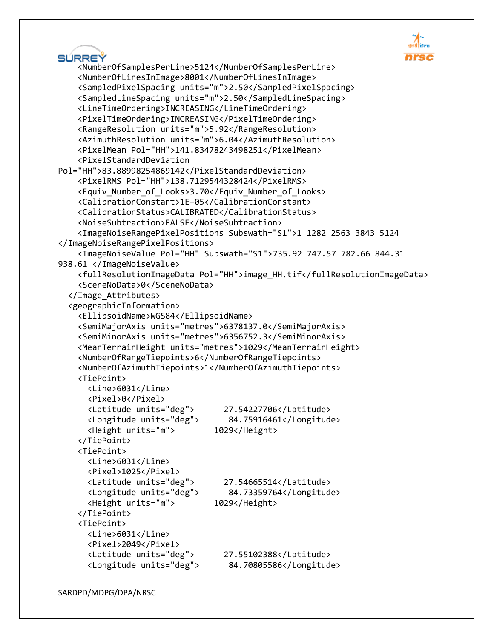

| SURREY                                                                                             | <b>nrsc</b> |
|----------------------------------------------------------------------------------------------------|-------------|
| <numberofsamplesperline>5124</numberofsamplesperline>                                              |             |
| <numberoflinesinimage>8001</numberoflinesinimage>                                                  |             |
| <sampledpixelspacing units="m">2.50</sampledpixelspacing>                                          |             |
| <sampledlinespacing units="m">2.50</sampledlinespacing>                                            |             |
| <linetimeordering>INCREASING</linetimeordering>                                                    |             |
| <pixeltimeordering>INCREASING</pixeltimeordering>                                                  |             |
| <rangeresolution units="m">5.92</rangeresolution>                                                  |             |
| <azimuthresolution units="m">6.04</azimuthresolution>                                              |             |
| <pixelmean pol="HH">141.83478243498251</pixelmean>                                                 |             |
| <pixelstandarddeviation< th=""><th></th></pixelstandarddeviation<>                                 |             |
| Pol="HH">83.88998254869142                                                                         |             |
| <pixelrms pol="HH">138.7129544328424</pixelrms>                                                    |             |
| <equiv_number_of_looks>3.70</equiv_number_of_looks>                                                |             |
| <calibrationconstant>1E+05</calibrationconstant>                                                   |             |
| <calibrationstatus>CALIBRATED</calibrationstatus>                                                  |             |
| <noisesubtraction>FALSE</noisesubtraction>                                                         |             |
| <imagenoiserangepixelpositions subswath="S1">1 1282 2563 3843 5124</imagenoiserangepixelpositions> |             |
|                                                                                                    |             |
| <imagenoisevalue pol="HH" subswath="S1">735.92 747.57 782.66 844.31</imagenoisevalue>              |             |
| 938.61                                                                                             |             |
| <fullresolutionimagedata pol="HH">image_HH.tif</fullresolutionimagedata>                           |             |
| <scenenodata>0</scenenodata>                                                                       |             |
|                                                                                                    |             |
| <geographicinformation></geographicinformation>                                                    |             |
| <ellipsoidname>WGS84</ellipsoidname><br><semimajoraxis units="metres">6378137.0</semimajoraxis>    |             |
| <semiminoraxis units="metres">6356752.3</semiminoraxis>                                            |             |
| <meanterrainheight units="metres">1029</meanterrainheight>                                         |             |
| <numberofrangetiepoints>6</numberofrangetiepoints>                                                 |             |
| <numberofazimuthtiepoints>1</numberofazimuthtiepoints>                                             |             |
| <tiepoint></tiepoint>                                                                              |             |
| <line>6031</line>                                                                                  |             |
| <pixel>0</pixel>                                                                                   |             |
| <latitude units="deg"><br/>27.54227706</latitude>                                                  |             |
| <longitude units="deg"><br/>84.75916461</longitude>                                                |             |
| <height units="m"><br/>1029</height>                                                               |             |
|                                                                                                    |             |
| <tiepoint></tiepoint>                                                                              |             |
| <line>6031</line>                                                                                  |             |
| <pixel>1025</pixel>                                                                                |             |
| <latitude units="deg"><br/>27.54665514</latitude>                                                  |             |
| <longitude units="deg"><br/>84.73359764</longitude>                                                |             |
| <height units="m"><br/>1029</height>                                                               |             |
|                                                                                                    |             |
| <tiepoint></tiepoint>                                                                              |             |
| <line>6031</line>                                                                                  |             |
| <pixel>2049</pixel>                                                                                |             |
| <latitude units="deg"><br/>27.55102388</latitude>                                                  |             |
| <longitude units="deg"><br/>84.70805586</longitude>                                                |             |
|                                                                                                    |             |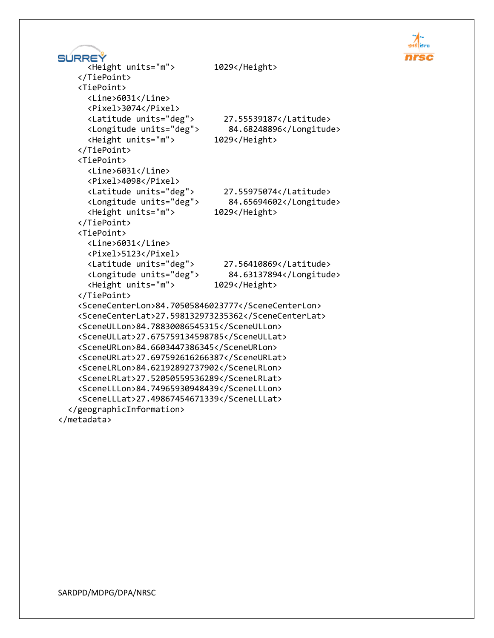```
SURREY
       <Height units="m"> 1029</Height>
     </TiePoint>
     <TiePoint>
       <Line>6031</Line>
       <Pixel>3074</Pixel>
       <Latitude units="deg"> 27.55539187</Latitude>
       <Longitude units="deg"> 84.68248896</Longitude>
       <Height units="m"> 1029</Height>
     </TiePoint>
     <TiePoint>
       <Line>6031</Line>
       <Pixel>4098</Pixel>
       <Latitude units="deg"> 27.55975074</Latitude>
       <Longitude units="deg"> 84.65694602</Longitude>
       <Height units="m"> 1029</Height>
     </TiePoint>
     <TiePoint>
       <Line>6031</Line>
       <Pixel>5123</Pixel>
       <Latitude units="deg"> 27.56410869</Latitude>
       <Longitude units="deg"> 84.63137894</Longitude>
       <Height units="m"> 1029</Height>
     </TiePoint>
     <SceneCenterLon>84.70505846023777</SceneCenterLon>
     <SceneCenterLat>27.598132973235362</SceneCenterLat>
     <SceneULLon>84.78830086545315</SceneULLon>
     <SceneULLat>27.675759134598785</SceneULLat>
     <SceneURLon>84.6603447386345</SceneURLon>
     <SceneURLat>27.697592616266387</SceneURLat>
     <SceneLRLon>84.62192892737902</SceneLRLon>
     <SceneLRLat>27.52050559536289</SceneLRLat>
     <SceneLLLon>84.74965930948439</SceneLLLon>
     <SceneLLLat>27.49867454671339</SceneLLLat>
   </geographicInformation>
</metadata>
```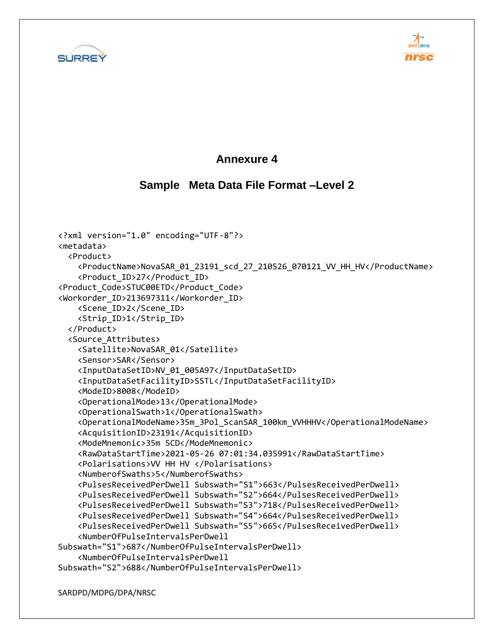



### **Annexure 4**

### **Sample Meta Data File Format –Level 2**

```
<?xml version="1.0" encoding="UTF-8"?>
<metadata>
   <Product>
     <ProductName>NovaSAR_01_23191_scd_27_210526_070121_VV_HH_HV</ProductName>
     <Product_ID>27</Product_ID>
<Product_Code>STUC00ETD</Product_Code>
<Workorder_ID>213697311</Workorder_ID>
     <Scene_ID>2</Scene_ID>
     <Strip_ID>1</Strip_ID>
   </Product>
   <Source_Attributes>
     <Satellite>NovaSAR_01</Satellite>
     <Sensor>SAR</Sensor>
     <InputDataSetID>NV_01_005A97</InputDataSetID>
     <InputDataSetFacilityID>SSTL</InputDataSetFacilityID>
     <ModeID>8008</ModeID>
     <OperationalMode>13</OperationalMode>
     <OperationalSwath>1</OperationalSwath>
     <OperationalModeName>35m_3Pol_ScanSAR_100km_VVHHHV</OperationalModeName>
     <AcquisitionID>23191</AcquisitionID>
     <ModeMnemonic>35m SCD</ModeMnemonic>
     <RawDataStartTime>2021-05-26 07:01:34.035991</RawDataStartTime>
     <Polarisations>VV HH HV </Polarisations>
     <NumberofSwaths>5</NumberofSwaths>
     <PulsesReceivedPerDwell Subswath="S1">663</PulsesReceivedPerDwell>
     <PulsesReceivedPerDwell Subswath="S2">664</PulsesReceivedPerDwell>
     <PulsesReceivedPerDwell Subswath="S3">718</PulsesReceivedPerDwell>
     <PulsesReceivedPerDwell Subswath="S4">664</PulsesReceivedPerDwell>
     <PulsesReceivedPerDwell Subswath="S5">665</PulsesReceivedPerDwell>
     <NumberOfPulseIntervalsPerDwell 
Subswath="S1">687</NumberOfPulseIntervalsPerDwell>
     <NumberOfPulseIntervalsPerDwell 
Subswath="S2">688</NumberOfPulseIntervalsPerDwell>
```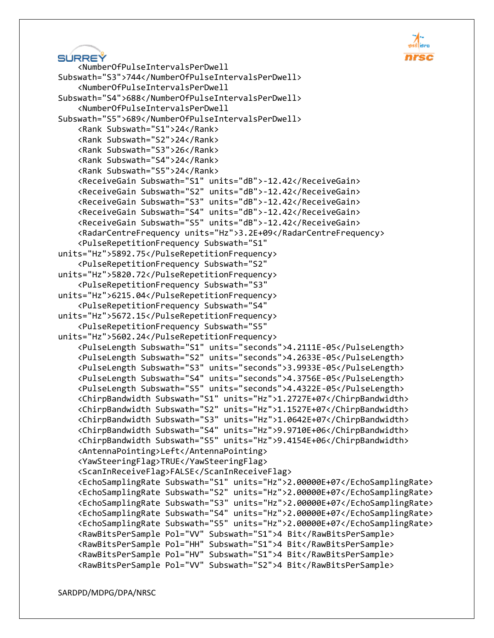```
SURREY
```

```
 <NumberOfPulseIntervalsPerDwell 
Subswath="S3">744</NumberOfPulseIntervalsPerDwell>
     <NumberOfPulseIntervalsPerDwell 
Subswath="S4">688</NumberOfPulseIntervalsPerDwell>
     <NumberOfPulseIntervalsPerDwell 
Subswath="S5">689</NumberOfPulseIntervalsPerDwell>
     <Rank Subswath="S1">24</Rank>
     <Rank Subswath="S2">24</Rank>
     <Rank Subswath="S3">26</Rank>
     <Rank Subswath="S4">24</Rank>
     <Rank Subswath="S5">24</Rank>
     <ReceiveGain Subswath="S1" units="dB">-12.42</ReceiveGain>
     <ReceiveGain Subswath="S2" units="dB">-12.42</ReceiveGain>
     <ReceiveGain Subswath="S3" units="dB">-12.42</ReceiveGain>
     <ReceiveGain Subswath="S4" units="dB">-12.42</ReceiveGain>
     <ReceiveGain Subswath="S5" units="dB">-12.42</ReceiveGain>
     <RadarCentreFrequency units="Hz">3.2E+09</RadarCentreFrequency>
     <PulseRepetitionFrequency Subswath="S1" 
units="Hz">5892.75</PulseRepetitionFrequency>
     <PulseRepetitionFrequency Subswath="S2" 
units="Hz">5820.72</PulseRepetitionFrequency>
     <PulseRepetitionFrequency Subswath="S3" 
units="Hz">6215.04</PulseRepetitionFrequency>
     <PulseRepetitionFrequency Subswath="S4" 
units="Hz">5672.15</PulseRepetitionFrequency>
     <PulseRepetitionFrequency Subswath="S5" 
units="Hz">5602.24</PulseRepetitionFrequency>
     <PulseLength Subswath="S1" units="seconds">4.2111E-05</PulseLength>
     <PulseLength Subswath="S2" units="seconds">4.2633E-05</PulseLength>
     <PulseLength Subswath="S3" units="seconds">3.9933E-05</PulseLength>
     <PulseLength Subswath="S4" units="seconds">4.3756E-05</PulseLength>
     <PulseLength Subswath="S5" units="seconds">4.4322E-05</PulseLength>
     <ChirpBandwidth Subswath="S1" units="Hz">1.2727E+07</ChirpBandwidth>
     <ChirpBandwidth Subswath="S2" units="Hz">1.1527E+07</ChirpBandwidth>
     <ChirpBandwidth Subswath="S3" units="Hz">1.0642E+07</ChirpBandwidth>
     <ChirpBandwidth Subswath="S4" units="Hz">9.9710E+06</ChirpBandwidth>
     <ChirpBandwidth Subswath="S5" units="Hz">9.4154E+06</ChirpBandwidth>
     <AntennaPointing>Left</AntennaPointing>
     <YawSteeringFlag>TRUE</YawSteeringFlag>
     <ScanInReceiveFlag>FALSE</ScanInReceiveFlag>
     <EchoSamplingRate Subswath="S1" units="Hz">2.00000E+07</EchoSamplingRate>
     <EchoSamplingRate Subswath="S2" units="Hz">2.00000E+07</EchoSamplingRate>
     <EchoSamplingRate Subswath="S3" units="Hz">2.00000E+07</EchoSamplingRate>
     <EchoSamplingRate Subswath="S4" units="Hz">2.00000E+07</EchoSamplingRate>
     <EchoSamplingRate Subswath="S5" units="Hz">2.00000E+07</EchoSamplingRate>
     <RawBitsPerSample Pol="VV" Subswath="S1">4 Bit</RawBitsPerSample>
     <RawBitsPerSample Pol="HH" Subswath="S1">4 Bit</RawBitsPerSample>
     <RawBitsPerSample Pol="HV" Subswath="S1">4 Bit</RawBitsPerSample>
     <RawBitsPerSample Pol="VV" Subswath="S2">4 Bit</RawBitsPerSample>
```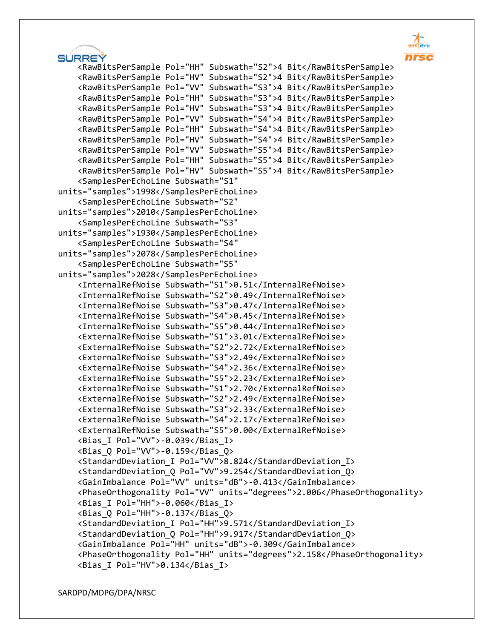```
SÚRREÝ
     <RawBitsPerSample Pol="HH" Subswath="S2">4 Bit</RawBitsPerSample>
     <RawBitsPerSample Pol="HV" Subswath="S2">4 Bit</RawBitsPerSample>
     <RawBitsPerSample Pol="VV" Subswath="S3">4 Bit</RawBitsPerSample>
     <RawBitsPerSample Pol="HH" Subswath="S3">4 Bit</RawBitsPerSample>
     <RawBitsPerSample Pol="HV" Subswath="S3">4 Bit</RawBitsPerSample>
     <RawBitsPerSample Pol="VV" Subswath="S4">4 Bit</RawBitsPerSample>
     <RawBitsPerSample Pol="HH" Subswath="S4">4 Bit</RawBitsPerSample>
     <RawBitsPerSample Pol="HV" Subswath="S4">4 Bit</RawBitsPerSample>
     <RawBitsPerSample Pol="VV" Subswath="S5">4 Bit</RawBitsPerSample>
     <RawBitsPerSample Pol="HH" Subswath="S5">4 Bit</RawBitsPerSample>
     <RawBitsPerSample Pol="HV" Subswath="S5">4 Bit</RawBitsPerSample>
     <SamplesPerEchoLine Subswath="S1" 
units="samples">1998</SamplesPerEchoLine>
     <SamplesPerEchoLine Subswath="S2" 
units="samples">2010</SamplesPerEchoLine>
     <SamplesPerEchoLine Subswath="S3" 
units="samples">1930</SamplesPerEchoLine>
     <SamplesPerEchoLine Subswath="S4" 
units="samples">2078</SamplesPerEchoLine>
     <SamplesPerEchoLine Subswath="S5" 
units="samples">2028</SamplesPerEchoLine>
     <InternalRefNoise Subswath="S1">0.51</InternalRefNoise>
     <InternalRefNoise Subswath="S2">0.49</InternalRefNoise>
     <InternalRefNoise Subswath="S3">0.47</InternalRefNoise>
     <InternalRefNoise Subswath="S4">0.45</InternalRefNoise>
     <InternalRefNoise Subswath="S5">0.44</InternalRefNoise>
     <ExternalRefNoise Subswath="S1">3.01</ExternalRefNoise>
     <ExternalRefNoise Subswath="S2">2.72</ExternalRefNoise>
     <ExternalRefNoise Subswath="S3">2.49</ExternalRefNoise>
     <ExternalRefNoise Subswath="S4">2.36</ExternalRefNoise>
     <ExternalRefNoise Subswath="S5">2.23</ExternalRefNoise>
     <ExternalRefNoise Subswath="S1">2.70</ExternalRefNoise>
     <ExternalRefNoise Subswath="S2">2.49</ExternalRefNoise>
     <ExternalRefNoise Subswath="S3">2.33</ExternalRefNoise>
     <ExternalRefNoise Subswath="S4">2.17</ExternalRefNoise>
     <ExternalRefNoise Subswath="S5">0.00</ExternalRefNoise>
     <Bias_I Pol="VV">-0.039</Bias_I>
     <Bias_Q Pol="VV">-0.159</Bias_Q>
     <StandardDeviation_I Pol="VV">8.824</StandardDeviation_I>
     <StandardDeviation_Q Pol="VV">9.254</StandardDeviation_Q>
     <GainImbalance Pol="VV" units="dB">-0.413</GainImbalance>
     <PhaseOrthogonality Pol="VV" units="degrees">2.006</PhaseOrthogonality>
     <Bias_I Pol="HH">-0.060</Bias_I>
     <Bias_Q Pol="HH">-0.137</Bias_Q>
     <StandardDeviation_I Pol="HH">9.571</StandardDeviation_I>
     <StandardDeviation_Q Pol="HH">9.917</StandardDeviation_Q>
     <GainImbalance Pol="HH" units="dB">-0.309</GainImbalance>
     <PhaseOrthogonality Pol="HH" units="degrees">2.158</PhaseOrthogonality>
     <Bias_I Pol="HV">0.134</Bias_I>
```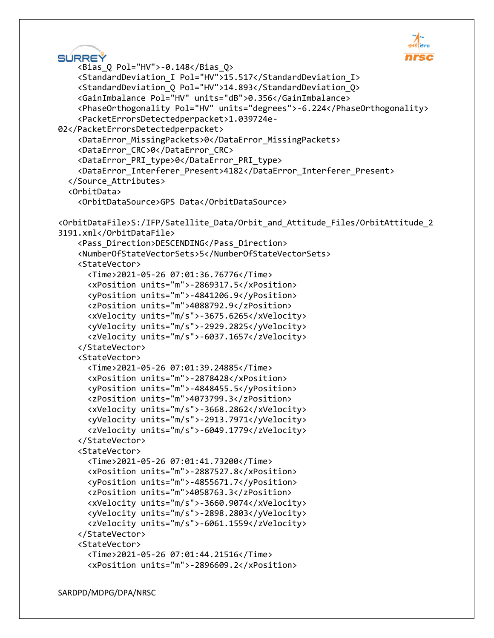```
SURREY
     <Bias_Q Pol="HV">-0.148</Bias_Q>
     <StandardDeviation_I Pol="HV">15.517</StandardDeviation_I>
     <StandardDeviation_Q Pol="HV">14.893</StandardDeviation_Q>
     <GainImbalance Pol="HV" units="dB">0.356</GainImbalance>
     <PhaseOrthogonality Pol="HV" units="degrees">-6.224</PhaseOrthogonality>
     <PacketErrorsDetectedperpacket>1.039724e-
02</PacketErrorsDetectedperpacket>
     <DataError_MissingPackets>0</DataError_MissingPackets>
     <DataError_CRC>0</DataError_CRC>
     <DataError_PRI_type>0</DataError_PRI_type>
     <DataError_Interferer_Present>4182</DataError_Interferer_Present>
   </Source_Attributes>
   <OrbitData>
     <OrbitDataSource>GPS Data</OrbitDataSource>
<OrbitDataFile>S:/IFP/Satellite_Data/Orbit_and_Attitude_Files/OrbitAttitude_2
3191.xml</OrbitDataFile>
     <Pass_Direction>DESCENDING</Pass_Direction>
     <NumberOfStateVectorSets>5</NumberOfStateVectorSets>
     <StateVector>
       <Time>2021-05-26 07:01:36.76776</Time>
       <xPosition units="m">-2869317.5</xPosition>
       <yPosition units="m">-4841206.9</yPosition>
       <zPosition units="m">4088792.9</zPosition>
       <xVelocity units="m/s">-3675.6265</xVelocity>
       <yVelocity units="m/s">-2929.2825</yVelocity>
       <zVelocity units="m/s">-6037.1657</zVelocity>
     </StateVector>
     <StateVector>
       <Time>2021-05-26 07:01:39.24885</Time>
       <xPosition units="m">-2878428</xPosition>
       <yPosition units="m">-4848455.5</yPosition>
       <zPosition units="m">4073799.3</zPosition>
       <xVelocity units="m/s">-3668.2862</xVelocity>
       <yVelocity units="m/s">-2913.7971</yVelocity>
       <zVelocity units="m/s">-6049.1779</zVelocity>
     </StateVector>
     <StateVector>
       <Time>2021-05-26 07:01:41.73200</Time>
       <xPosition units="m">-2887527.8</xPosition>
       <yPosition units="m">-4855671.7</yPosition>
       <zPosition units="m">4058763.3</zPosition>
       <xVelocity units="m/s">-3660.9074</xVelocity>
       <yVelocity units="m/s">-2898.2803</yVelocity>
       <zVelocity units="m/s">-6061.1559</zVelocity>
     </StateVector>
     <StateVector>
       <Time>2021-05-26 07:01:44.21516</Time>
       <xPosition units="m">-2896609.2</xPosition>
```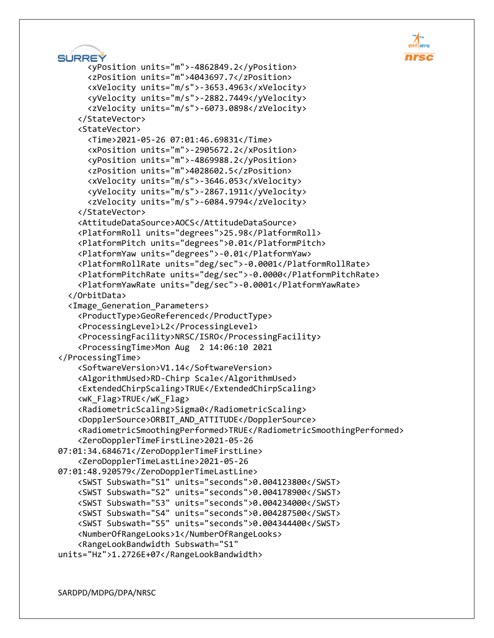

```
SURREY
       <yPosition units="m">-4862849.2</yPosition>
       <zPosition units="m">4043697.7</zPosition>
       <xVelocity units="m/s">-3653.4963</xVelocity>
       <yVelocity units="m/s">-2882.7449</yVelocity>
       <zVelocity units="m/s">-6073.0898</zVelocity>
     </StateVector>
     <StateVector>
       <Time>2021-05-26 07:01:46.69831</Time>
       <xPosition units="m">-2905672.2</xPosition>
       <yPosition units="m">-4869988.2</yPosition>
       <zPosition units="m">4028602.5</zPosition>
       <xVelocity units="m/s">-3646.053</xVelocity>
       <yVelocity units="m/s">-2867.1911</yVelocity>
       <zVelocity units="m/s">-6084.9794</zVelocity>
     </StateVector>
     <AttitudeDataSource>AOCS</AttitudeDataSource>
     <PlatformRoll units="degrees">25.98</PlatformRoll>
     <PlatformPitch units="degrees">0.01</PlatformPitch>
     <PlatformYaw units="degrees">-0.01</PlatformYaw>
     <PlatformRollRate units="deg/sec">-0.0001</PlatformRollRate>
     <PlatformPitchRate units="deg/sec">-0.0000</PlatformPitchRate>
     <PlatformYawRate units="deg/sec">-0.0001</PlatformYawRate>
   </OrbitData>
   <Image_Generation_Parameters>
     <ProductType>GeoReferenced</ProductType>
     <ProcessingLevel>L2</ProcessingLevel>
     <ProcessingFacility>NRSC/ISRO</ProcessingFacility>
     <ProcessingTime>Mon Aug 2 14:06:10 2021
</ProcessingTime>
     <SoftwareVersion>V1.14</SoftwareVersion>
     <AlgorithmUsed>RD-Chirp Scale</AlgorithmUsed>
     <ExtendedChirpScaling>TRUE</ExtendedChirpScaling>
     <wK_Flag>TRUE</wK_Flag>
     <RadiometricScaling>Sigma0</RadiometricScaling>
     <DopplerSource>ORBIT_AND_ATTITUDE</DopplerSource>
     <RadiometricSmoothingPerformed>TRUE</RadiometricSmoothingPerformed>
     <ZeroDopplerTimeFirstLine>2021-05-26 
07:01:34.684671</ZeroDopplerTimeFirstLine>
     <ZeroDopplerTimeLastLine>2021-05-26 
07:01:48.920579</ZeroDopplerTimeLastLine>
     <SWST Subswath="S1" units="seconds">0.004123800</SWST>
     <SWST Subswath="S2" units="seconds">0.004178900</SWST>
     <SWST Subswath="S3" units="seconds">0.004234000</SWST>
     <SWST Subswath="S4" units="seconds">0.004287500</SWST>
     <SWST Subswath="S5" units="seconds">0.004344400</SWST>
     <NumberOfRangeLooks>1</NumberOfRangeLooks>
     <RangeLookBandwidth Subswath="S1" 
units="Hz">1.2726E+07</RangeLookBandwidth>
```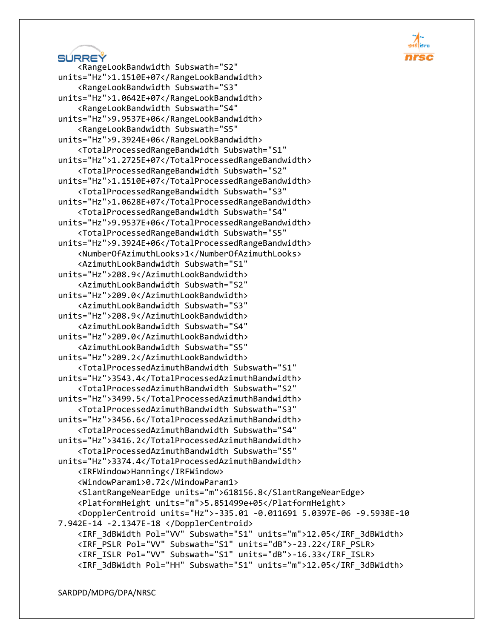# SÚRREÝ <RangeLookBandwidth Subswath="S2" units="Hz">1.1510E+07</RangeLookBandwidth> <RangeLookBandwidth Subswath="S3"

```
units="Hz">1.0642E+07</RangeLookBandwidth>
     <RangeLookBandwidth Subswath="S4" 
units="Hz">9.9537E+06</RangeLookBandwidth>
     <RangeLookBandwidth Subswath="S5" 
units="Hz">9.3924E+06</RangeLookBandwidth>
     <TotalProcessedRangeBandwidth Subswath="S1" 
units="Hz">1.2725E+07</TotalProcessedRangeBandwidth>
     <TotalProcessedRangeBandwidth Subswath="S2" 
units="Hz">1.1510E+07</TotalProcessedRangeBandwidth>
     <TotalProcessedRangeBandwidth Subswath="S3" 
units="Hz">1.0628E+07</TotalProcessedRangeBandwidth>
     <TotalProcessedRangeBandwidth Subswath="S4" 
units="Hz">9.9537E+06</TotalProcessedRangeBandwidth>
     <TotalProcessedRangeBandwidth Subswath="S5" 
units="Hz">9.3924E+06</TotalProcessedRangeBandwidth>
     <NumberOfAzimuthLooks>1</NumberOfAzimuthLooks>
     <AzimuthLookBandwidth Subswath="S1" 
units="Hz">208.9</AzimuthLookBandwidth>
     <AzimuthLookBandwidth Subswath="S2" 
units="Hz">209.0</AzimuthLookBandwidth>
     <AzimuthLookBandwidth Subswath="S3" 
units="Hz">208.9</AzimuthLookBandwidth>
     <AzimuthLookBandwidth Subswath="S4" 
units="Hz">209.0</AzimuthLookBandwidth>
     <AzimuthLookBandwidth Subswath="S5" 
units="Hz">209.2</AzimuthLookBandwidth>
     <TotalProcessedAzimuthBandwidth Subswath="S1" 
units="Hz">3543.4</TotalProcessedAzimuthBandwidth>
     <TotalProcessedAzimuthBandwidth Subswath="S2" 
units="Hz">3499.5</TotalProcessedAzimuthBandwidth>
     <TotalProcessedAzimuthBandwidth Subswath="S3" 
units="Hz">3456.6</TotalProcessedAzimuthBandwidth>
     <TotalProcessedAzimuthBandwidth Subswath="S4" 
units="Hz">3416.2</TotalProcessedAzimuthBandwidth>
     <TotalProcessedAzimuthBandwidth Subswath="S5" 
units="Hz">3374.4</TotalProcessedAzimuthBandwidth>
     <IRFWindow>Hanning</IRFWindow>
     <WindowParam1>0.72</WindowParam1>
     <SlantRangeNearEdge units="m">618156.8</SlantRangeNearEdge>
     <PlatformHeight units="m">5.851499e+05</PlatformHeight>
     <DopplerCentroid units="Hz">-335.01 -0.011691 5.0397E-06 -9.5938E-10 
7.942E-14 -2.1347E-18 </DopplerCentroid>
     <IRF_3dBWidth Pol="VV" Subswath="S1" units="m">12.05</IRF_3dBWidth>
     <IRF_PSLR Pol="VV" Subswath="S1" units="dB">-23.22</IRF_PSLR>
     <IRF_ISLR Pol="VV" Subswath="S1" units="dB">-16.33</IRF_ISLR>
     <IRF_3dBWidth Pol="HH" Subswath="S1" units="m">12.05</IRF_3dBWidth>
```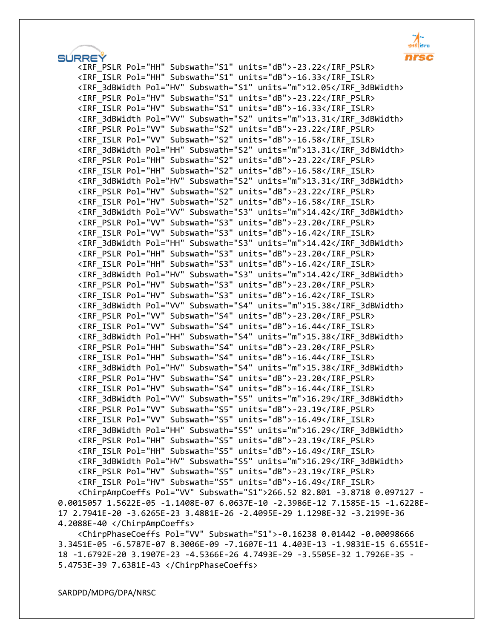**SÚRREÝ**  <IRF\_PSLR Pol="HH" Subswath="S1" units="dB">-23.22</IRF\_PSLR> <IRF\_ISLR Pol="HH" Subswath="S1" units="dB">-16.33</IRF\_ISLR> <IRF\_3dBWidth Pol="HV" Subswath="S1" units="m">12.05</IRF\_3dBWidth> <IRF\_PSLR Pol="HV" Subswath="S1" units="dB">-23.22</IRF\_PSLR> <IRF\_ISLR Pol="HV" Subswath="S1" units="dB">-16.33</IRF\_ISLR> <IRF\_3dBWidth Pol="VV" Subswath="S2" units="m">13.31</IRF\_3dBWidth> <IRF\_PSLR Pol="VV" Subswath="S2" units="dB">-23.22</IRF\_PSLR> <IRF\_ISLR Pol="VV" Subswath="S2" units="dB">-16.58</IRF\_ISLR> <IRF\_3dBWidth Pol="HH" Subswath="S2" units="m">13.31</IRF\_3dBWidth> <IRF\_PSLR Pol="HH" Subswath="S2" units="dB">-23.22</IRF\_PSLR> <IRF\_ISLR Pol="HH" Subswath="S2" units="dB">-16.58</IRF\_ISLR> <IRF\_3dBWidth Pol="HV" Subswath="S2" units="m">13.31</IRF\_3dBWidth> <IRF\_PSLR Pol="HV" Subswath="S2" units="dB">-23.22</IRF\_PSLR> <IRF\_ISLR Pol="HV" Subswath="S2" units="dB">-16.58</IRF\_ISLR> <IRF\_3dBWidth Pol="VV" Subswath="S3" units="m">14.42</IRF\_3dBWidth> <IRF\_PSLR Pol="VV" Subswath="S3" units="dB">-23.20</IRF\_PSLR> <IRF\_ISLR Pol="VV" Subswath="S3" units="dB">-16.42</IRF\_ISLR> <IRF\_3dBWidth Pol="HH" Subswath="S3" units="m">14.42</IRF\_3dBWidth> <IRF\_PSLR Pol="HH" Subswath="S3" units="dB">-23.20</IRF\_PSLR> <IRF\_ISLR Pol="HH" Subswath="S3" units="dB">-16.42</IRF\_ISLR> <IRF\_3dBWidth Pol="HV" Subswath="S3" units="m">14.42</IRF\_3dBWidth> <IRF\_PSLR Pol="HV" Subswath="S3" units="dB">-23.20</IRF\_PSLR> <IRF\_ISLR Pol="HV" Subswath="S3" units="dB">-16.42</IRF\_ISLR> <IRF\_3dBWidth Pol="VV" Subswath="S4" units="m">15.38</IRF\_3dBWidth> <IRF\_PSLR Pol="VV" Subswath="S4" units="dB">-23.20</IRF\_PSLR> <IRF\_ISLR Pol="VV" Subswath="S4" units="dB">-16.44</IRF\_ISLR> <IRF\_3dBWidth Pol="HH" Subswath="S4" units="m">15.38</IRF\_3dBWidth> <IRF\_PSLR Pol="HH" Subswath="S4" units="dB">-23.20</IRF\_PSLR> <IRF\_ISLR Pol="HH" Subswath="S4" units="dB">-16.44</IRF\_ISLR> <IRF\_3dBWidth Pol="HV" Subswath="S4" units="m">15.38</IRF\_3dBWidth> <IRF\_PSLR Pol="HV" Subswath="S4" units="dB">-23.20</IRF\_PSLR> <IRF\_ISLR Pol="HV" Subswath="S4" units="dB">-16.44</IRF\_ISLR> <IRF\_3dBWidth Pol="VV" Subswath="S5" units="m">16.29</IRF\_3dBWidth> <IRF\_PSLR Pol="VV" Subswath="S5" units="dB">-23.19</IRF\_PSLR> <IRF\_ISLR Pol="VV" Subswath="S5" units="dB">-16.49</IRF\_ISLR> <IRF\_3dBWidth Pol="HH" Subswath="S5" units="m">16.29</IRF\_3dBWidth> <IRF\_PSLR Pol="HH" Subswath="S5" units="dB">-23.19</IRF\_PSLR> <IRF\_ISLR Pol="HH" Subswath="S5" units="dB">-16.49</IRF\_ISLR> <IRF\_3dBWidth Pol="HV" Subswath="S5" units="m">16.29</IRF\_3dBWidth> <IRF\_PSLR Pol="HV" Subswath="S5" units="dB">-23.19</IRF\_PSLR> <IRF\_ISLR Pol="HV" Subswath="S5" units="dB">-16.49</IRF\_ISLR> <ChirpAmpCoeffs Pol="VV" Subswath="S1">266.52 82.801 -3.8718 0.097127 - 0.0015057 1.5622E-05 -1.1408E-07 6.0637E-10 -2.3986E-12 7.1585E-15 -1.6228E-17 2.7941E-20 -3.6265E-23 3.4881E-26 -2.4095E-29 1.1298E-32 -3.2199E-36

4.2088E-40 </ChirpAmpCoeffs>

 <ChirpPhaseCoeffs Pol="VV" Subswath="S1">-0.16238 0.01442 -0.00098666 3.3451E-05 -6.5787E-07 8.3006E-09 -7.1607E-11 4.403E-13 -1.9831E-15 6.6551E-18 -1.6792E-20 3.1907E-23 -4.5366E-26 4.7493E-29 -3.5505E-32 1.7926E-35 - 5.4753E-39 7.6381E-43 </ChirpPhaseCoeffs>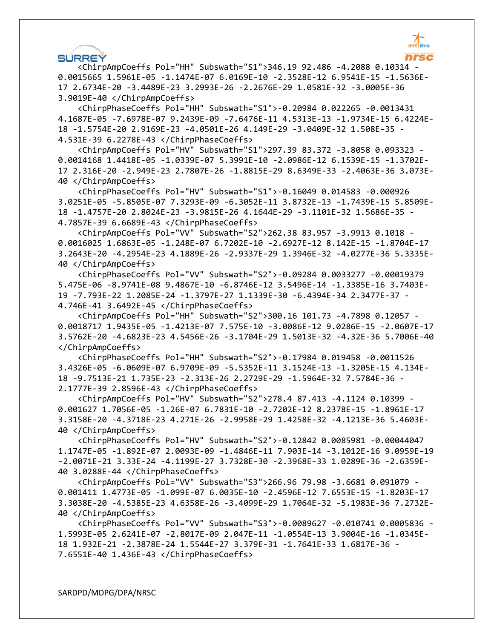#### **SURREY**

 <ChirpAmpCoeffs Pol="HH" Subswath="S1">346.19 92.486 -4.2088 0.10314 - 0.0015665 1.5961E-05 -1.1474E-07 6.0169E-10 -2.3528E-12 6.9541E-15 -1.5636E-17 2.6734E-20 -3.4489E-23 3.2993E-26 -2.2676E-29 1.0581E-32 -3.0005E-36 3.9019E-40 </ChirpAmpCoeffs>

 <ChirpPhaseCoeffs Pol="HH" Subswath="S1">-0.20984 0.022265 -0.0013431 4.1687E-05 -7.6978E-07 9.2439E-09 -7.6476E-11 4.5313E-13 -1.9734E-15 6.4224E-18 -1.5754E-20 2.9169E-23 -4.0501E-26 4.149E-29 -3.0409E-32 1.508E-35 - 4.531E-39 6.2278E-43 </ChirpPhaseCoeffs>

 <ChirpAmpCoeffs Pol="HV" Subswath="S1">297.39 83.372 -3.8058 0.093323 - 0.0014168 1.4418E-05 -1.0339E-07 5.3991E-10 -2.0986E-12 6.1539E-15 -1.3702E-17 2.316E-20 -2.949E-23 2.7807E-26 -1.8815E-29 8.6349E-33 -2.4063E-36 3.073E-40 </ChirpAmpCoeffs>

 <ChirpPhaseCoeffs Pol="HV" Subswath="S1">-0.16049 0.014583 -0.000926 3.0251E-05 -5.8505E-07 7.3293E-09 -6.3052E-11 3.8732E-13 -1.7439E-15 5.8509E-18 -1.4757E-20 2.8024E-23 -3.9815E-26 4.1644E-29 -3.1101E-32 1.5686E-35 - 4.7857E-39 6.6689E-43 </ChirpPhaseCoeffs>

 <ChirpAmpCoeffs Pol="VV" Subswath="S2">262.38 83.957 -3.9913 0.1018 - 0.0016025 1.6863E-05 -1.248E-07 6.7202E-10 -2.6927E-12 8.142E-15 -1.8704E-17 3.2643E-20 -4.2954E-23 4.1889E-26 -2.9337E-29 1.3946E-32 -4.0277E-36 5.3335E-40 </ChirpAmpCoeffs>

 <ChirpPhaseCoeffs Pol="VV" Subswath="S2">-0.09284 0.0033277 -0.00019379 5.475E-06 -8.9741E-08 9.4867E-10 -6.8746E-12 3.5496E-14 -1.3385E-16 3.7403E-19 -7.793E-22 1.2085E-24 -1.3797E-27 1.1339E-30 -6.4394E-34 2.3477E-37 - 4.746E-41 3.6492E-45 </ChirpPhaseCoeffs>

 <ChirpAmpCoeffs Pol="HH" Subswath="S2">300.16 101.73 -4.7898 0.12057 - 0.0018717 1.9435E-05 -1.4213E-07 7.575E-10 -3.0086E-12 9.0286E-15 -2.0607E-17 3.5762E-20 -4.6823E-23 4.5456E-26 -3.1704E-29 1.5013E-32 -4.32E-36 5.7006E-40 </ChirpAmpCoeffs>

 <ChirpPhaseCoeffs Pol="HH" Subswath="S2">-0.17984 0.019458 -0.0011526 3.4326E-05 -6.0609E-07 6.9709E-09 -5.5352E-11 3.1524E-13 -1.3205E-15 4.134E-18 -9.7513E-21 1.735E-23 -2.313E-26 2.2729E-29 -1.5964E-32 7.5784E-36 - 2.1777E-39 2.8596E-43 </ChirpPhaseCoeffs>

 <ChirpAmpCoeffs Pol="HV" Subswath="S2">278.4 87.413 -4.1124 0.10399 - 0.001627 1.7056E-05 -1.26E-07 6.7831E-10 -2.7202E-12 8.2378E-15 -1.8961E-17 3.3158E-20 -4.3718E-23 4.271E-26 -2.9958E-29 1.4258E-32 -4.1213E-36 5.4603E-40 </ChirpAmpCoeffs>

 <ChirpPhaseCoeffs Pol="HV" Subswath="S2">-0.12842 0.0085981 -0.00044047 1.1747E-05 -1.892E-07 2.0093E-09 -1.4846E-11 7.903E-14 -3.1012E-16 9.0959E-19 -2.0071E-21 3.33E-24 -4.1199E-27 3.7328E-30 -2.3968E-33 1.0289E-36 -2.6359E-40 3.0288E-44 </ChirpPhaseCoeffs>

 <ChirpAmpCoeffs Pol="VV" Subswath="S3">266.96 79.98 -3.6681 0.091079 - 0.001411 1.4773E-05 -1.099E-07 6.0035E-10 -2.4596E-12 7.6553E-15 -1.8203E-17 3.3038E-20 -4.5385E-23 4.6358E-26 -3.4099E-29 1.7064E-32 -5.1983E-36 7.2732E-40 </ChirpAmpCoeffs>

 <ChirpPhaseCoeffs Pol="VV" Subswath="S3">-0.0089627 -0.010741 0.0005836 - 1.5993E-05 2.6241E-07 -2.8017E-09 2.047E-11 -1.0554E-13 3.9004E-16 -1.0345E-18 1.932E-21 -2.3878E-24 1.5544E-27 3.379E-31 -1.7641E-33 1.6817E-36 - 7.6551E-40 1.436E-43 </ChirpPhaseCoeffs>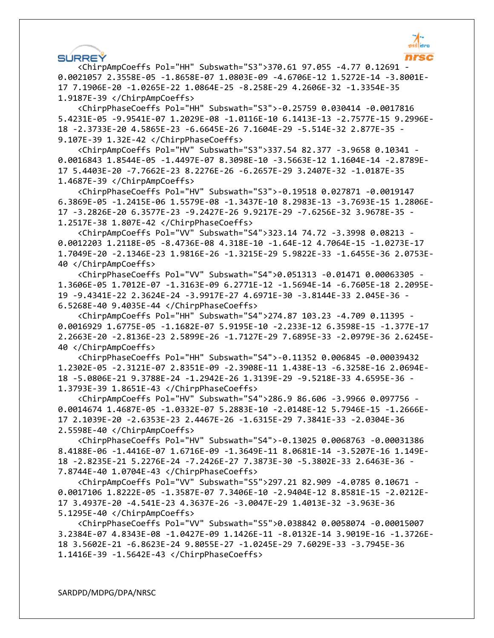

#### **SURREY**

 <ChirpAmpCoeffs Pol="HH" Subswath="S3">370.61 97.055 -4.77 0.12691 - 0.0021057 2.3558E-05 -1.8658E-07 1.0803E-09 -4.6706E-12 1.5272E-14 -3.8001E-17 7.1906E-20 -1.0265E-22 1.0864E-25 -8.258E-29 4.2606E-32 -1.3354E-35 1.9187E-39 </ChirpAmpCoeffs>

 <ChirpPhaseCoeffs Pol="HH" Subswath="S3">-0.25759 0.030414 -0.0017816 5.4231E-05 -9.9541E-07 1.2029E-08 -1.0116E-10 6.1413E-13 -2.7577E-15 9.2996E-18 -2.3733E-20 4.5865E-23 -6.6645E-26 7.1604E-29 -5.514E-32 2.877E-35 - 9.107E-39 1.32E-42 </ChirpPhaseCoeffs>

 <ChirpAmpCoeffs Pol="HV" Subswath="S3">337.54 82.377 -3.9658 0.10341 - 0.0016843 1.8544E-05 -1.4497E-07 8.3098E-10 -3.5663E-12 1.1604E-14 -2.8789E-17 5.4403E-20 -7.7662E-23 8.2276E-26 -6.2657E-29 3.2407E-32 -1.0187E-35 1.4687E-39 </ChirpAmpCoeffs>

 <ChirpPhaseCoeffs Pol="HV" Subswath="S3">-0.19518 0.027871 -0.0019147 6.3869E-05 -1.2415E-06 1.5579E-08 -1.3437E-10 8.2983E-13 -3.7693E-15 1.2806E-17 -3.2826E-20 6.3577E-23 -9.2427E-26 9.9217E-29 -7.6256E-32 3.9678E-35 - 1.2517E-38 1.807E-42 </ChirpPhaseCoeffs>

 <ChirpAmpCoeffs Pol="VV" Subswath="S4">323.14 74.72 -3.3998 0.08213 - 0.0012203 1.2118E-05 -8.4736E-08 4.318E-10 -1.64E-12 4.7064E-15 -1.0273E-17 1.7049E-20 -2.1346E-23 1.9816E-26 -1.3215E-29 5.9822E-33 -1.6455E-36 2.0753E-40 </ChirpAmpCoeffs>

 <ChirpPhaseCoeffs Pol="VV" Subswath="S4">0.051313 -0.01471 0.00063305 - 1.3606E-05 1.7012E-07 -1.3163E-09 6.2771E-12 -1.5694E-14 -6.7605E-18 2.2095E-19 -9.4341E-22 2.3624E-24 -3.9917E-27 4.6971E-30 -3.8144E-33 2.045E-36 - 6.5268E-40 9.4035E-44 </ChirpPhaseCoeffs>

 <ChirpAmpCoeffs Pol="HH" Subswath="S4">274.87 103.23 -4.709 0.11395 - 0.0016929 1.6775E-05 -1.1682E-07 5.9195E-10 -2.233E-12 6.3598E-15 -1.377E-17 2.2663E-20 -2.8136E-23 2.5899E-26 -1.7127E-29 7.6895E-33 -2.0979E-36 2.6245E-40 </ChirpAmpCoeffs>

 <ChirpPhaseCoeffs Pol="HH" Subswath="S4">-0.11352 0.006845 -0.00039432 1.2302E-05 -2.3121E-07 2.8351E-09 -2.3908E-11 1.438E-13 -6.3258E-16 2.0694E-18 -5.0806E-21 9.3788E-24 -1.2942E-26 1.3139E-29 -9.5218E-33 4.6595E-36 - 1.3793E-39 1.8651E-43 </ChirpPhaseCoeffs>

 <ChirpAmpCoeffs Pol="HV" Subswath="S4">286.9 86.606 -3.9966 0.097756 - 0.0014674 1.4687E-05 -1.0332E-07 5.2883E-10 -2.0148E-12 5.7946E-15 -1.2666E-17 2.1039E-20 -2.6353E-23 2.4467E-26 -1.6315E-29 7.3841E-33 -2.0304E-36 2.5598E-40 </ChirpAmpCoeffs>

 <ChirpPhaseCoeffs Pol="HV" Subswath="S4">-0.13025 0.0068763 -0.00031386 8.4188E-06 -1.4416E-07 1.6716E-09 -1.3649E-11 8.0681E-14 -3.5207E-16 1.149E-18 -2.8235E-21 5.2276E-24 -7.2426E-27 7.3873E-30 -5.3802E-33 2.6463E-36 - 7.8744E-40 1.0704E-43 </ChirpPhaseCoeffs>

 <ChirpAmpCoeffs Pol="VV" Subswath="S5">297.21 82.909 -4.0785 0.10671 - 0.0017106 1.8222E-05 -1.3587E-07 7.3406E-10 -2.9404E-12 8.8581E-15 -2.0212E-17 3.4937E-20 -4.541E-23 4.3637E-26 -3.0047E-29 1.4013E-32 -3.963E-36 5.1295E-40 </ChirpAmpCoeffs>

 <ChirpPhaseCoeffs Pol="VV" Subswath="S5">0.038842 0.0058074 -0.00015007 3.2384E-07 4.8343E-08 -1.0427E-09 1.1426E-11 -8.0132E-14 3.9019E-16 -1.3726E-18 3.5602E-21 -6.8623E-24 9.8055E-27 -1.0245E-29 7.6029E-33 -3.7945E-36 1.1416E-39 -1.5642E-43 </ChirpPhaseCoeffs>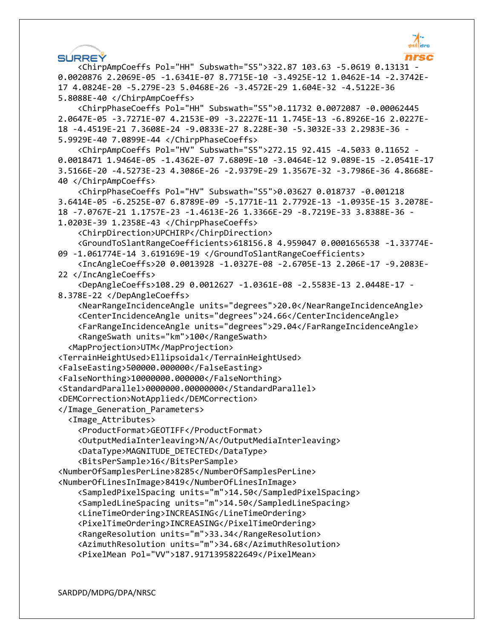

**SÚRREŸ**  <ChirpAmpCoeffs Pol="HH" Subswath="S5">322.87 103.63 -5.0619 0.13131 - 0.0020876 2.2069E-05 -1.6341E-07 8.7715E-10 -3.4925E-12 1.0462E-14 -2.3742E-17 4.0824E-20 -5.279E-23 5.0468E-26 -3.4572E-29 1.604E-32 -4.5122E-36 5.8088E-40 </ChirpAmpCoeffs> <ChirpPhaseCoeffs Pol="HH" Subswath="S5">0.11732 0.0072087 -0.00062445 2.0647E-05 -3.7271E-07 4.2153E-09 -3.2227E-11 1.745E-13 -6.8926E-16 2.0227E-18 -4.4519E-21 7.3608E-24 -9.0833E-27 8.228E-30 -5.3032E-33 2.2983E-36 - 5.9929E-40 7.0899E-44 </ChirpPhaseCoeffs> <ChirpAmpCoeffs Pol="HV" Subswath="S5">272.15 92.415 -4.5033 0.11652 - 0.0018471 1.9464E-05 -1.4362E-07 7.6809E-10 -3.0464E-12 9.089E-15 -2.0541E-17 3.5166E-20 -4.5273E-23 4.3086E-26 -2.9379E-29 1.3567E-32 -3.7986E-36 4.8668E-40 </ChirpAmpCoeffs> <ChirpPhaseCoeffs Pol="HV" Subswath="S5">0.03627 0.018737 -0.001218 3.6414E-05 -6.2525E-07 6.8789E-09 -5.1771E-11 2.7792E-13 -1.0935E-15 3.2078E-18 -7.0767E-21 1.1757E-23 -1.4613E-26 1.3366E-29 -8.7219E-33 3.8388E-36 - 1.0203E-39 1.2358E-43 </ChirpPhaseCoeffs> <ChirpDirection>UPCHIRP</ChirpDirection> <GroundToSlantRangeCoefficients>618156.8 4.959047 0.0001656538 -1.33774E-09 -1.061774E-14 3.619169E-19 </GroundToSlantRangeCoefficients> <IncAngleCoeffs>20 0.0013928 -1.0327E-08 -2.6705E-13 2.206E-17 -9.2083E-22 </IncAngleCoeffs> <DepAngleCoeffs>108.29 0.0012627 -1.0361E-08 -2.5583E-13 2.0448E-17 - 8.378E-22 </DepAngleCoeffs> <NearRangeIncidenceAngle units="degrees">20.0</NearRangeIncidenceAngle> <CenterIncidenceAngle units="degrees">24.66</CenterIncidenceAngle> <FarRangeIncidenceAngle units="degrees">29.04</FarRangeIncidenceAngle> <RangeSwath units="km">100</RangeSwath> <MapProjection>UTM</MapProjection> <TerrainHeightUsed>Ellipsoidal</TerrainHeightUsed> <FalseEasting>500000.000000</FalseEasting> <FalseNorthing>10000000.000000</FalseNorthing> <StandardParallel>0000000.00000000</StandardParallel> <DEMCorrection>NotApplied</DEMCorrection> </Image\_Generation\_Parameters> <Image\_Attributes> <ProductFormat>GEOTIFF</ProductFormat> <OutputMediaInterleaving>N/A</OutputMediaInterleaving> <DataType>MAGNITUDE\_DETECTED</DataType> <BitsPerSample>16</BitsPerSample> <NumberOfSamplesPerLine>8285</NumberOfSamplesPerLine> <NumberOfLinesInImage>8419</NumberOfLinesInImage> <SampledPixelSpacing units="m">14.50</SampledPixelSpacing> <SampledLineSpacing units="m">14.50</SampledLineSpacing> <LineTimeOrdering>INCREASING</LineTimeOrdering> <PixelTimeOrdering>INCREASING</PixelTimeOrdering> <RangeResolution units="m">33.34</RangeResolution> <AzimuthResolution units="m">34.68</AzimuthResolution> <PixelMean Pol="VV">187.9171395822649</PixelMean>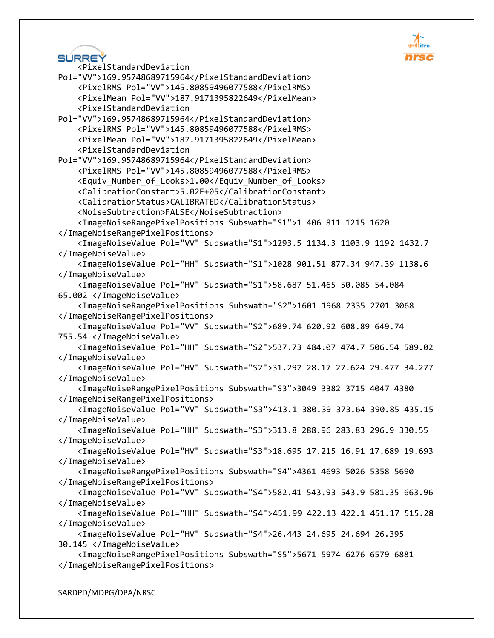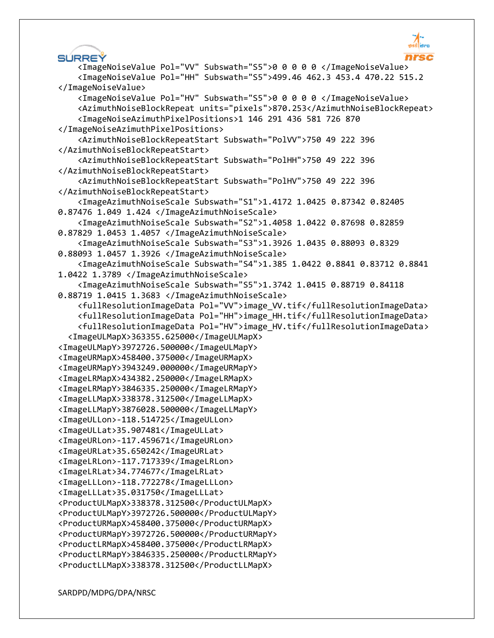SÚRREŸ <ImageNoiseValue Pol="VV" Subswath="S5">0 0 0 0 0 </ImageNoiseValue> <ImageNoiseValue Pol="HH" Subswath="S5">499.46 462.3 453.4 470.22 515.2 </ImageNoiseValue> <ImageNoiseValue Pol="HV" Subswath="S5">0 0 0 0 0 </ImageNoiseValue> <AzimuthNoiseBlockRepeat units="pixels">870.253</AzimuthNoiseBlockRepeat> <ImageNoiseAzimuthPixelPositions>1 146 291 436 581 726 870 </ImageNoiseAzimuthPixelPositions> <AzimuthNoiseBlockRepeatStart Subswath="PolVV">750 49 222 396 </AzimuthNoiseBlockRepeatStart> <AzimuthNoiseBlockRepeatStart Subswath="PolHH">750 49 222 396 </AzimuthNoiseBlockRepeatStart> <AzimuthNoiseBlockRepeatStart Subswath="PolHV">750 49 222 396 </AzimuthNoiseBlockRepeatStart> <ImageAzimuthNoiseScale Subswath="S1">1.4172 1.0425 0.87342 0.82405 0.87476 1.049 1.424 </ImageAzimuthNoiseScale> <ImageAzimuthNoiseScale Subswath="S2">1.4058 1.0422 0.87698 0.82859 0.87829 1.0453 1.4057 </ImageAzimuthNoiseScale> <ImageAzimuthNoiseScale Subswath="S3">1.3926 1.0435 0.88093 0.8329 0.88093 1.0457 1.3926 </ImageAzimuthNoiseScale> <ImageAzimuthNoiseScale Subswath="S4">1.385 1.0422 0.8841 0.83712 0.8841 1.0422 1.3789 </ImageAzimuthNoiseScale> <ImageAzimuthNoiseScale Subswath="S5">1.3742 1.0415 0.88719 0.84118 0.88719 1.0415 1.3683 </ImageAzimuthNoiseScale> <fullResolutionImageData Pol="VV">image\_VV.tif</fullResolutionImageData> <fullResolutionImageData Pol="HH">image\_HH.tif</fullResolutionImageData> <fullResolutionImageData Pol="HV">image\_HV.tif</fullResolutionImageData> <ImageULMapX>363355.625000</ImageULMapX> <ImageULMapY>3972726.500000</ImageULMapY> <ImageURMapX>458400.375000</ImageURMapX> <ImageURMapY>3943249.000000</ImageURMapY> <ImageLRMapX>434382.250000</ImageLRMapX> <ImageLRMapY>3846335.250000</ImageLRMapY> <ImageLLMapX>338378.312500</ImageLLMapX> <ImageLLMapY>3876028.500000</ImageLLMapY> <ImageULLon>-118.514725</ImageULLon> <ImageULLat>35.907481</ImageULLat> <ImageURLon>-117.459671</ImageURLon> <ImageURLat>35.650242</ImageURLat> <ImageLRLon>-117.717339</ImageLRLon> <ImageLRLat>34.774677</ImageLRLat> <ImageLLLon>-118.772278</ImageLLLon> <ImageLLLat>35.031750</ImageLLLat> <ProductULMapX>338378.312500</ProductULMapX> <ProductULMapY>3972726.500000</ProductULMapY> <ProductURMapX>458400.375000</ProductURMapX> <ProductURMapY>3972726.500000</ProductURMapY> <ProductLRMapX>458400.375000</ProductLRMapX> <ProductLRMapY>3846335.250000</ProductLRMapY> <ProductLLMapX>338378.312500</ProductLLMapX>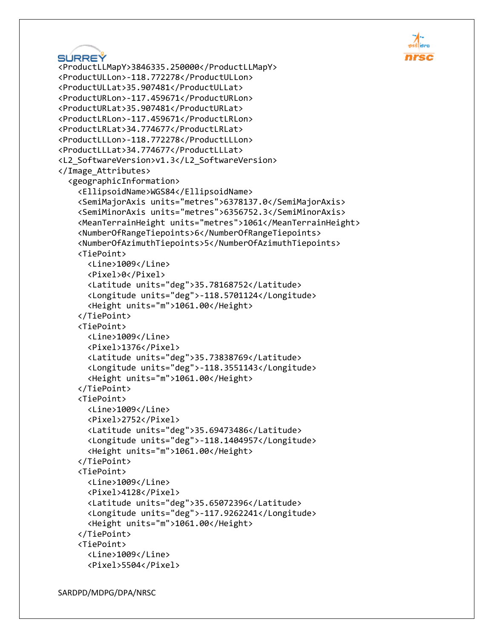```
SURREY
<ProductLLMapY>3846335.250000</ProductLLMapY>
<ProductULLon>-118.772278</ProductULLon>
<ProductULLat>35.907481</ProductULLat>
<ProductURLon>-117.459671</ProductURLon>
<ProductURLat>35.907481</ProductURLat>
<ProductLRLon>-117.459671</ProductLRLon>
<ProductLRLat>34.774677</ProductLRLat>
<ProductLLLon>-118.772278</ProductLLLon>
<ProductLLLat>34.774677</ProductLLLat>
<L2_SoftwareVersion>v1.3</L2_SoftwareVersion>
</Image_Attributes>
   <geographicInformation>
     <EllipsoidName>WGS84</EllipsoidName>
     <SemiMajorAxis units="metres">6378137.0</SemiMajorAxis>
     <SemiMinorAxis units="metres">6356752.3</SemiMinorAxis>
     <MeanTerrainHeight units="metres">1061</MeanTerrainHeight>
     <NumberOfRangeTiepoints>6</NumberOfRangeTiepoints>
     <NumberOfAzimuthTiepoints>5</NumberOfAzimuthTiepoints>
     <TiePoint>
       <Line>1009</Line>
       <Pixel>0</Pixel>
       <Latitude units="deg">35.78168752</Latitude>
       <Longitude units="deg">-118.5701124</Longitude>
       <Height units="m">1061.00</Height>
     </TiePoint>
     <TiePoint>
       <Line>1009</Line>
       <Pixel>1376</Pixel>
       <Latitude units="deg">35.73838769</Latitude>
       <Longitude units="deg">-118.3551143</Longitude>
       <Height units="m">1061.00</Height>
     </TiePoint>
     <TiePoint>
       <Line>1009</Line>
       <Pixel>2752</Pixel>
       <Latitude units="deg">35.69473486</Latitude>
       <Longitude units="deg">-118.1404957</Longitude>
       <Height units="m">1061.00</Height>
     </TiePoint>
     <TiePoint>
       <Line>1009</Line>
       <Pixel>4128</Pixel>
       <Latitude units="deg">35.65072396</Latitude>
       <Longitude units="deg">-117.9262241</Longitude>
       <Height units="m">1061.00</Height>
     </TiePoint>
     <TiePoint>
       <Line>1009</Line>
       <Pixel>5504</Pixel>
```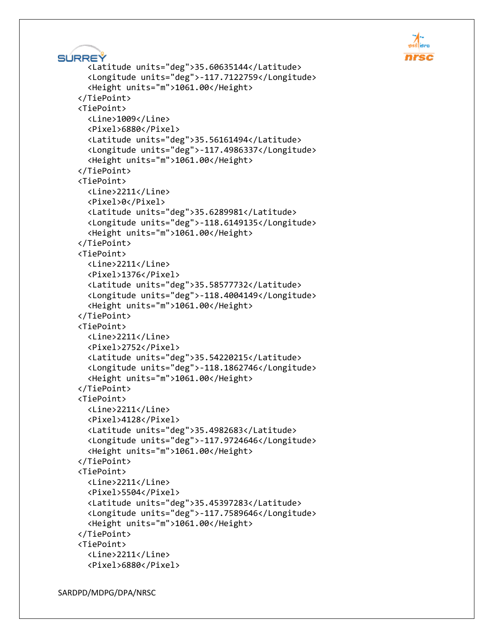```
SÚRREÝ
       <Latitude units="deg">35.60635144</Latitude>
       <Longitude units="deg">-117.7122759</Longitude>
       <Height units="m">1061.00</Height>
     </TiePoint>
     <TiePoint>
       <Line>1009</Line>
       <Pixel>6880</Pixel>
       <Latitude units="deg">35.56161494</Latitude>
       <Longitude units="deg">-117.4986337</Longitude>
       <Height units="m">1061.00</Height>
     </TiePoint>
     <TiePoint>
       <Line>2211</Line>
       <Pixel>0</Pixel>
       <Latitude units="deg">35.6289981</Latitude>
       <Longitude units="deg">-118.6149135</Longitude>
       <Height units="m">1061.00</Height>
     </TiePoint>
     <TiePoint>
       <Line>2211</Line>
       <Pixel>1376</Pixel>
       <Latitude units="deg">35.58577732</Latitude>
       <Longitude units="deg">-118.4004149</Longitude>
       <Height units="m">1061.00</Height>
     </TiePoint>
     <TiePoint>
       <Line>2211</Line>
       <Pixel>2752</Pixel>
       <Latitude units="deg">35.54220215</Latitude>
       <Longitude units="deg">-118.1862746</Longitude>
       <Height units="m">1061.00</Height>
     </TiePoint>
     <TiePoint>
       <Line>2211</Line>
       <Pixel>4128</Pixel>
       <Latitude units="deg">35.4982683</Latitude>
       <Longitude units="deg">-117.9724646</Longitude>
       <Height units="m">1061.00</Height>
     </TiePoint>
     <TiePoint>
       <Line>2211</Line>
       <Pixel>5504</Pixel>
       <Latitude units="deg">35.45397283</Latitude>
       <Longitude units="deg">-117.7589646</Longitude>
       <Height units="m">1061.00</Height>
     </TiePoint>
     <TiePoint>
       <Line>2211</Line>
       <Pixel>6880</Pixel>
```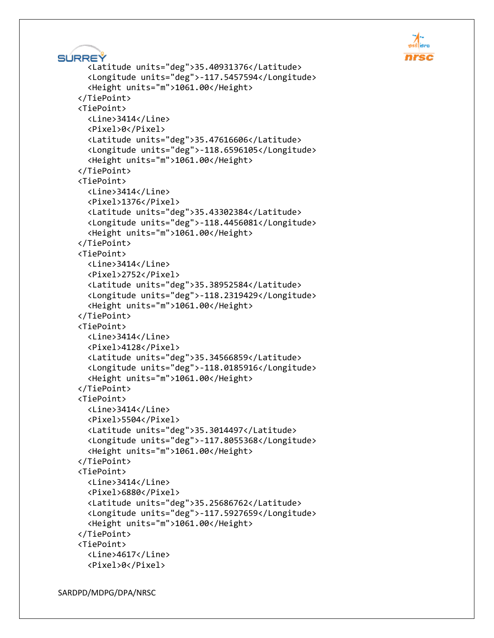```
SÚRREÝ
       <Latitude units="deg">35.40931376</Latitude>
       <Longitude units="deg">-117.5457594</Longitude>
       <Height units="m">1061.00</Height>
     </TiePoint>
     <TiePoint>
       <Line>3414</Line>
       <Pixel>0</Pixel>
       <Latitude units="deg">35.47616606</Latitude>
       <Longitude units="deg">-118.6596105</Longitude>
       <Height units="m">1061.00</Height>
     </TiePoint>
     <TiePoint>
       <Line>3414</Line>
       <Pixel>1376</Pixel>
       <Latitude units="deg">35.43302384</Latitude>
       <Longitude units="deg">-118.4456081</Longitude>
       <Height units="m">1061.00</Height>
     </TiePoint>
     <TiePoint>
       <Line>3414</Line>
       <Pixel>2752</Pixel>
       <Latitude units="deg">35.38952584</Latitude>
       <Longitude units="deg">-118.2319429</Longitude>
       <Height units="m">1061.00</Height>
     </TiePoint>
     <TiePoint>
       <Line>3414</Line>
       <Pixel>4128</Pixel>
       <Latitude units="deg">35.34566859</Latitude>
       <Longitude units="deg">-118.0185916</Longitude>
       <Height units="m">1061.00</Height>
     </TiePoint>
     <TiePoint>
       <Line>3414</Line>
       <Pixel>5504</Pixel>
       <Latitude units="deg">35.3014497</Latitude>
       <Longitude units="deg">-117.8055368</Longitude>
       <Height units="m">1061.00</Height>
     </TiePoint>
     <TiePoint>
       <Line>3414</Line>
       <Pixel>6880</Pixel>
       <Latitude units="deg">35.25686762</Latitude>
       <Longitude units="deg">-117.5927659</Longitude>
       <Height units="m">1061.00</Height>
     </TiePoint>
     <TiePoint>
       <Line>4617</Line>
       <Pixel>0</Pixel>
```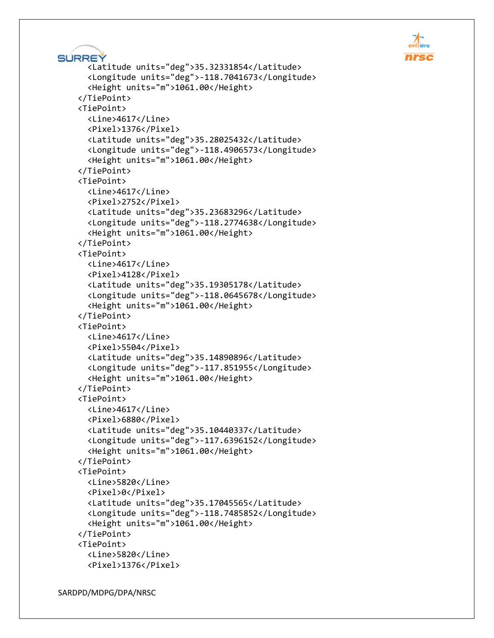```
SÚRREÝ
       <Latitude units="deg">35.32331854</Latitude>
       <Longitude units="deg">-118.7041673</Longitude>
       <Height units="m">1061.00</Height>
     </TiePoint>
     <TiePoint>
       <Line>4617</Line>
       <Pixel>1376</Pixel>
       <Latitude units="deg">35.28025432</Latitude>
       <Longitude units="deg">-118.4906573</Longitude>
       <Height units="m">1061.00</Height>
     </TiePoint>
     <TiePoint>
       <Line>4617</Line>
       <Pixel>2752</Pixel>
       <Latitude units="deg">35.23683296</Latitude>
       <Longitude units="deg">-118.2774638</Longitude>
       <Height units="m">1061.00</Height>
     </TiePoint>
     <TiePoint>
       <Line>4617</Line>
       <Pixel>4128</Pixel>
       <Latitude units="deg">35.19305178</Latitude>
       <Longitude units="deg">-118.0645678</Longitude>
       <Height units="m">1061.00</Height>
     </TiePoint>
     <TiePoint>
       <Line>4617</Line>
       <Pixel>5504</Pixel>
       <Latitude units="deg">35.14890896</Latitude>
       <Longitude units="deg">-117.851955</Longitude>
       <Height units="m">1061.00</Height>
     </TiePoint>
     <TiePoint>
       <Line>4617</Line>
       <Pixel>6880</Pixel>
       <Latitude units="deg">35.10440337</Latitude>
       <Longitude units="deg">-117.6396152</Longitude>
       <Height units="m">1061.00</Height>
     </TiePoint>
     <TiePoint>
       <Line>5820</Line>
       <Pixel>0</Pixel>
       <Latitude units="deg">35.17045565</Latitude>
       <Longitude units="deg">-118.7485852</Longitude>
       <Height units="m">1061.00</Height>
     </TiePoint>
     <TiePoint>
       <Line>5820</Line>
       <Pixel>1376</Pixel>
```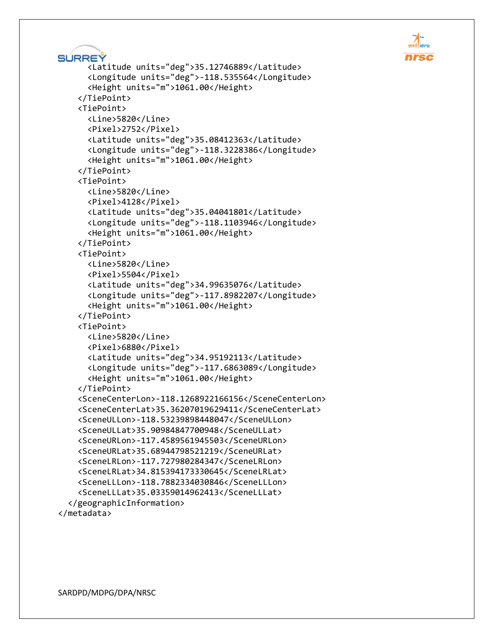```
SURREY
       <Latitude units="deg">35.12746889</Latitude>
       <Longitude units="deg">-118.535564</Longitude>
       <Height units="m">1061.00</Height>
     </TiePoint>
     <TiePoint>
       <Line>5820</Line>
       <Pixel>2752</Pixel>
       <Latitude units="deg">35.08412363</Latitude>
       <Longitude units="deg">-118.3228386</Longitude>
       <Height units="m">1061.00</Height>
     </TiePoint>
     <TiePoint>
       <Line>5820</Line>
       <Pixel>4128</Pixel>
       <Latitude units="deg">35.04041801</Latitude>
       <Longitude units="deg">-118.1103946</Longitude>
       <Height units="m">1061.00</Height>
     </TiePoint>
     <TiePoint>
       <Line>5820</Line>
       <Pixel>5504</Pixel>
       <Latitude units="deg">34.99635076</Latitude>
       <Longitude units="deg">-117.8982207</Longitude>
       <Height units="m">1061.00</Height>
     </TiePoint>
     <TiePoint>
       <Line>5820</Line>
       <Pixel>6880</Pixel>
       <Latitude units="deg">34.95192113</Latitude>
       <Longitude units="deg">-117.6863089</Longitude>
       <Height units="m">1061.00</Height>
     </TiePoint>
     <SceneCenterLon>-118.1268922166156</SceneCenterLon>
     <SceneCenterLat>35.36207019629411</SceneCenterLat>
     <SceneULLon>-118.53239898448047</SceneULLon>
     <SceneULLat>35.90984847700948</SceneULLat>
     <SceneURLon>-117.4589561945503</SceneURLon>
     <SceneURLat>35.68944798521219</SceneURLat>
     <SceneLRLon>-117.727980284347</SceneLRLon>
     <SceneLRLat>34.815394173330645</SceneLRLat>
     <SceneLLLon>-118.7882334030846</SceneLLLon>
     <SceneLLLat>35.03359014962413</SceneLLLat>
   </geographicInformation>
</metadata>
```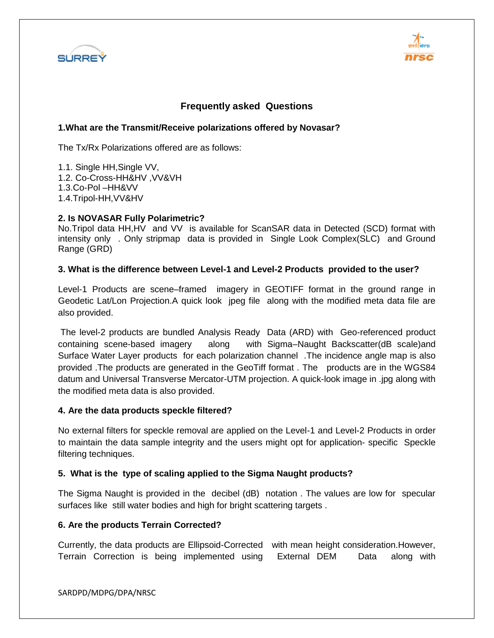



#### **Frequently asked Questions**

#### **1.What are the Transmit/Receive polarizations offered by Novasar?**

The Tx/Rx Polarizations offered are as follows:

1.1. Single HH,Single VV, 1.2. Co-Cross-HH&HV ,VV&VH 1.3.Co-Pol –HH&VV 1.4.Tripol-HH,VV&HV

#### **2. Is NOVASAR Fully Polarimetric?**

No.Tripol data HH,HV and VV is available for ScanSAR data in Detected (SCD) format with intensity only . Only stripmap data is provided in Single Look Complex(SLC) and Ground Range (GRD)

#### **3. What is the difference between Level-1 and Level-2 Products provided to the user?**

Level-1 Products are scene–framed imagery in GEOTIFF format in the ground range in Geodetic Lat/Lon Projection.A quick look jpeg file along with the modified meta data file are also provided.

The level-2 products are bundled Analysis Ready Data (ARD) with Geo-referenced product containing scene-based imagery along with Sigma–Naught Backscatter(dB scale)and Surface Water Layer products for each polarization channel .The incidence angle map is also provided .The products are generated in the GeoTiff format . The products are in the WGS84 datum and Universal Transverse Mercator-UTM projection. A quick-look image in .jpg along with the modified meta data is also provided.

#### **4. Are the data products speckle filtered?**

No external filters for speckle removal are applied on the Level-1 and Level-2 Products in order to maintain the data sample integrity and the users might opt for application- specific Speckle filtering techniques.

#### **5. What is the type of scaling applied to the Sigma Naught products?**

The Sigma Naught is provided in the decibel (dB) notation . The values are low for specular surfaces like still water bodies and high for bright scattering targets .

#### **6. Are the products Terrain Corrected?**

Currently, the data products are Ellipsoid-Corrected with mean height consideration.However, Terrain Correction is being implemented using External DEM Data along with